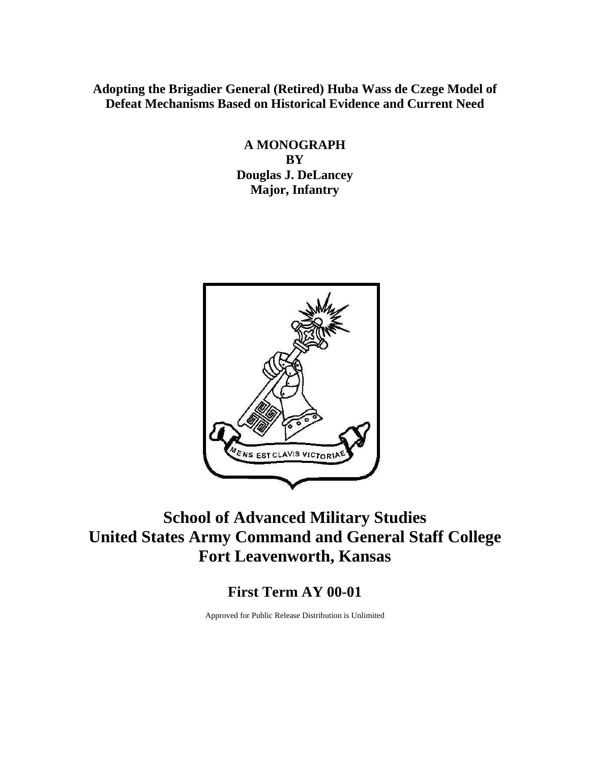### **Adopting the Brigadier General (Retired) Huba Wass de Czege Model of Defeat Mechanisms Based on Historical Evidence and Current Need**

**A MONOGRAPH BY Douglas J. DeLancey Major, Infantry**



# **School of Advanced Military Studies United States Army Command and General Staff College Fort Leavenworth, Kansas**

# **First Term AY 00-01**

Approved for Public Release Distribution is Unlimited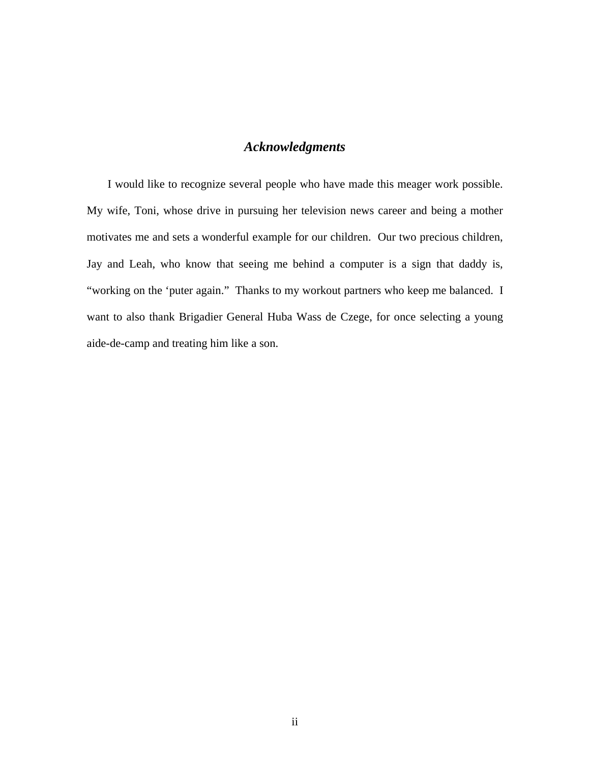### *Acknowledgments*

I would like to recognize several people who have made this meager work possible. My wife, Toni, whose drive in pursuing her television news career and being a mother motivates me and sets a wonderful example for our children. Our two precious children, Jay and Leah, who know that seeing me behind a computer is a sign that daddy is, "working on the 'puter again." Thanks to my workout partners who keep me balanced. I want to also thank Brigadier General Huba Wass de Czege, for once selecting a young aide-de-camp and treating him like a son.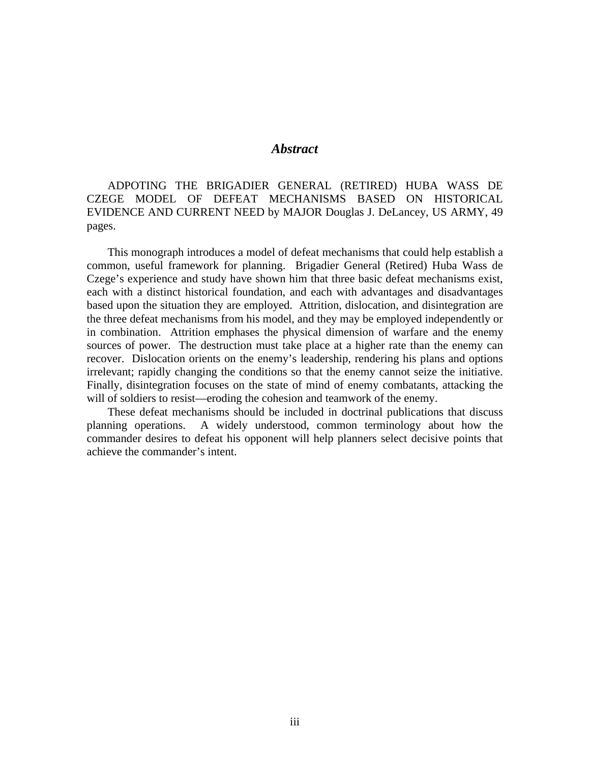### *Abstract*

ADPOTING THE BRIGADIER GENERAL (RETIRED) HUBA WASS DE CZEGE MODEL OF DEFEAT MECHANISMS BASED ON HISTORICAL EVIDENCE AND CURRENT NEED by MAJOR Douglas J. DeLancey, US ARMY, 49 pages.

This monograph introduces a model of defeat mechanisms that could help establish a common, useful framework for planning. Brigadier General (Retired) Huba Wass de Czege's experience and study have shown him that three basic defeat mechanisms exist, each with a distinct historical foundation, and each with advantages and disadvantages based upon the situation they are employed. Attrition, dislocation, and disintegration are the three defeat mechanisms from his model, and they may be employed independently or in combination. Attrition emphases the physical dimension of warfare and the enemy sources of power. The destruction must take place at a higher rate than the enemy can recover. Dislocation orients on the enemy's leadership, rendering his plans and options irrelevant; rapidly changing the conditions so that the enemy cannot seize the initiative. Finally, disintegration focuses on the state of mind of enemy combatants, attacking the will of soldiers to resist—eroding the cohesion and teamwork of the enemy.

These defeat mechanisms should be included in doctrinal publications that discuss planning operations. A widely understood, common terminology about how the commander desires to defeat his opponent will help planners select decisive points that achieve the commander's intent.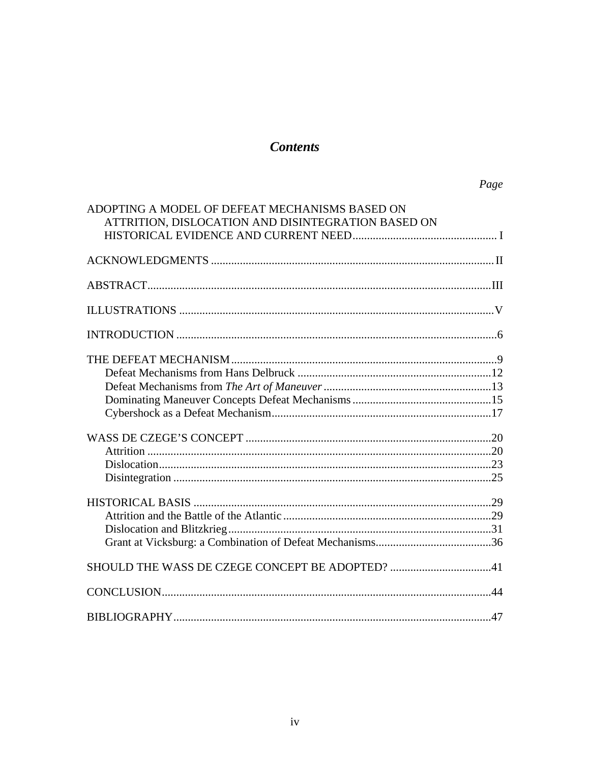### **Contents**

| ADOPTING A MODEL OF DEFEAT MECHANISMS BASED ON<br>ATTRITION, DISLOCATION AND DISINTEGRATION BASED ON |  |
|------------------------------------------------------------------------------------------------------|--|
|                                                                                                      |  |
|                                                                                                      |  |
|                                                                                                      |  |
|                                                                                                      |  |
|                                                                                                      |  |
|                                                                                                      |  |
|                                                                                                      |  |
|                                                                                                      |  |
|                                                                                                      |  |
|                                                                                                      |  |
|                                                                                                      |  |
|                                                                                                      |  |
|                                                                                                      |  |
|                                                                                                      |  |
|                                                                                                      |  |
|                                                                                                      |  |
|                                                                                                      |  |
|                                                                                                      |  |
|                                                                                                      |  |
|                                                                                                      |  |
|                                                                                                      |  |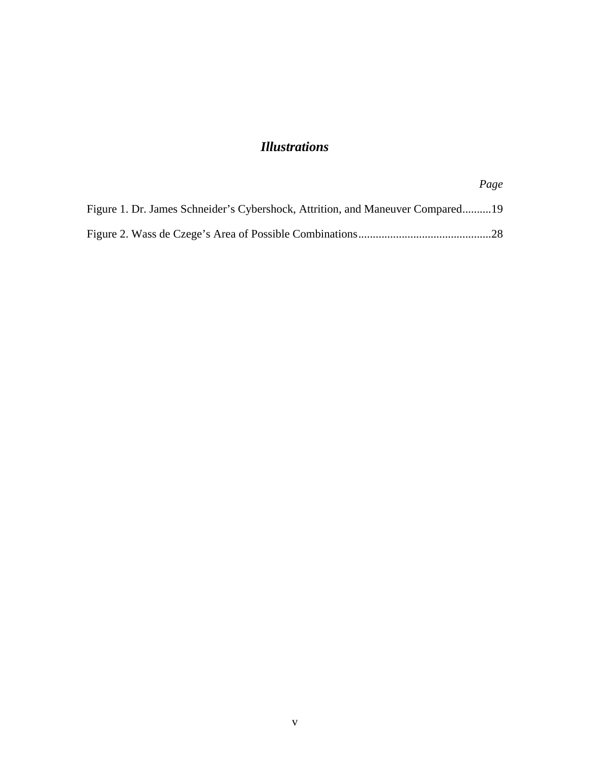## *Illustrations*

| Figure 1. Dr. James Schneider's Cybershock, Attrition, and Maneuver Compared19 |  |
|--------------------------------------------------------------------------------|--|
|                                                                                |  |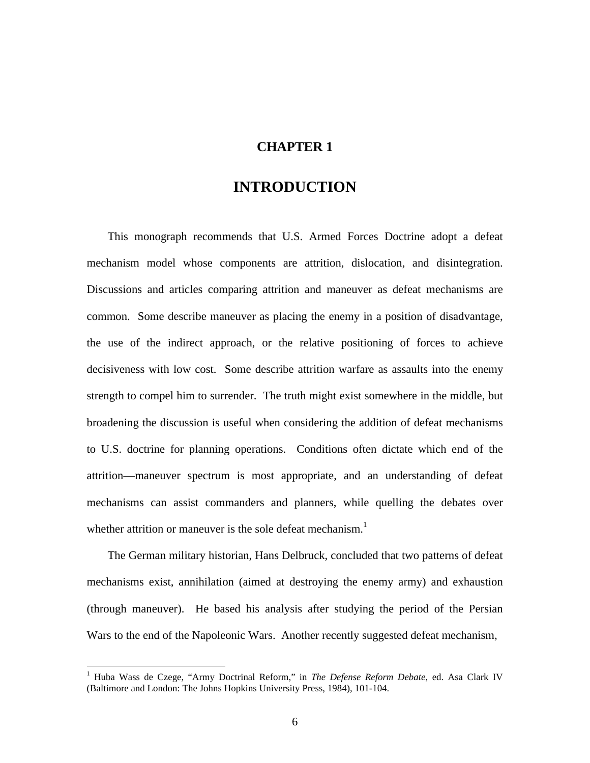### **CHAPTER 1**

### **INTRODUCTION**

This monograph recommends that U.S. Armed Forces Doctrine adopt a defeat mechanism model whose components are attrition, dislocation, and disintegration. Discussions and articles comparing attrition and maneuver as defeat mechanisms are common. Some describe maneuver as placing the enemy in a position of disadvantage, the use of the indirect approach, or the relative positioning of forces to achieve decisiveness with low cost. Some describe attrition warfare as assaults into the enemy strength to compel him to surrender. The truth might exist somewhere in the middle, but broadening the discussion is useful when considering the addition of defeat mechanisms to U.S. doctrine for planning operations. Conditions often dictate which end of the attrition—maneuver spectrum is most appropriate, and an understanding of defeat mechanisms can assist commanders and planners, while quelling the debates over whether attrition or maneuver is the sole defeat mechanism. $<sup>1</sup>$ </sup>

The German military historian, Hans Delbruck, concluded that two patterns of defeat mechanisms exist, annihilation (aimed at destroying the enemy army) and exhaustion (through maneuver). He based his analysis after studying the period of the Persian Wars to the end of the Napoleonic Wars. Another recently suggested defeat mechanism,

<sup>1</sup> Huba Wass de Czege, "Army Doctrinal Reform," in *The Defense Reform Debate,* ed. Asa Clark IV (Baltimore and London: The Johns Hopkins University Press, 1984), 101-104.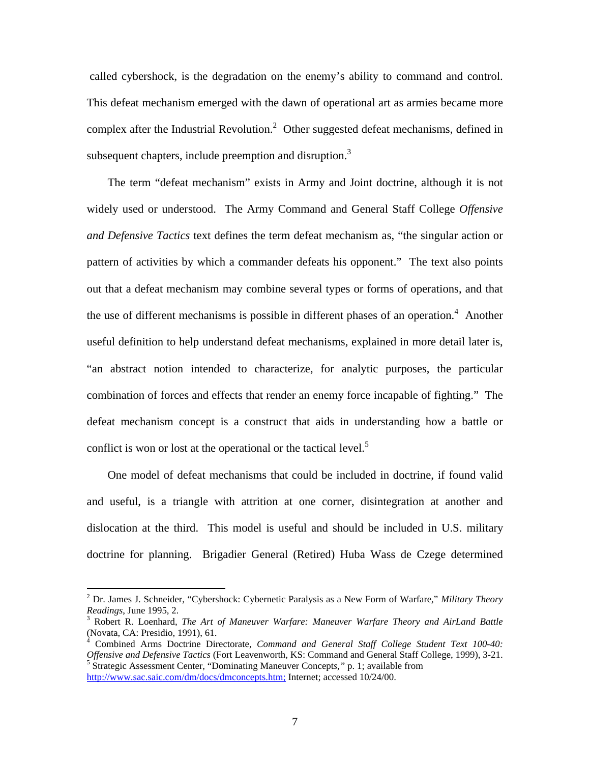called cybershock, is the degradation on the enemy's ability to command and control. This defeat mechanism emerged with the dawn of operational art as armies became more complex after the Industrial Revolution.<sup>2</sup> Other suggested defeat mechanisms, defined in subsequent chapters, include preemption and disruption.<sup>3</sup>

The term "defeat mechanism" exists in Army and Joint doctrine, although it is not widely used or understood. The Army Command and General Staff College *Offensive and Defensive Tactics* text defines the term defeat mechanism as, "the singular action or pattern of activities by which a commander defeats his opponent." The text also points out that a defeat mechanism may combine several types or forms of operations, and that the use of different mechanisms is possible in different phases of an operation.<sup>4</sup> Another useful definition to help understand defeat mechanisms, explained in more detail later is, "an abstract notion intended to characterize, for analytic purposes, the particular combination of forces and effects that render an enemy force incapable of fighting." The defeat mechanism concept is a construct that aids in understanding how a battle or conflict is won or lost at the operational or the tactical level.<sup>5</sup>

One model of defeat mechanisms that could be included in doctrine, if found valid and useful, is a triangle with attrition at one corner, disintegration at another and dislocation at the third. This model is useful and should be included in U.S. military doctrine for planning. Brigadier General (Retired) Huba Wass de Czege determined

 2 Dr. James J. Schneider, "Cybershock: Cybernetic Paralysis as a New Form of Warfare," *Military Theory Readings*, June 1995, 2*.*

<sup>3</sup> Robert R. Loenhard, *The Art of Maneuver Warfare: Maneuver Warfare Theory and AirLand Battle* (Novata, CA: Presidio, 1991), 61.

<sup>4</sup> Combined Arms Doctrine Directorate, *Command and General Staff College Student Text 100-40: Offensive and Defensive Tactics* (Fort Leavenworth, KS: Command and General Staff College, 1999), 3-21. 5 Strategic Assessment Center, "Dominating Maneuver Concept*s,"* p. 1; available from

http://www.sac.saic.com/dm/docs/dmconcepts.htm; Internet: accessed 10/24/00.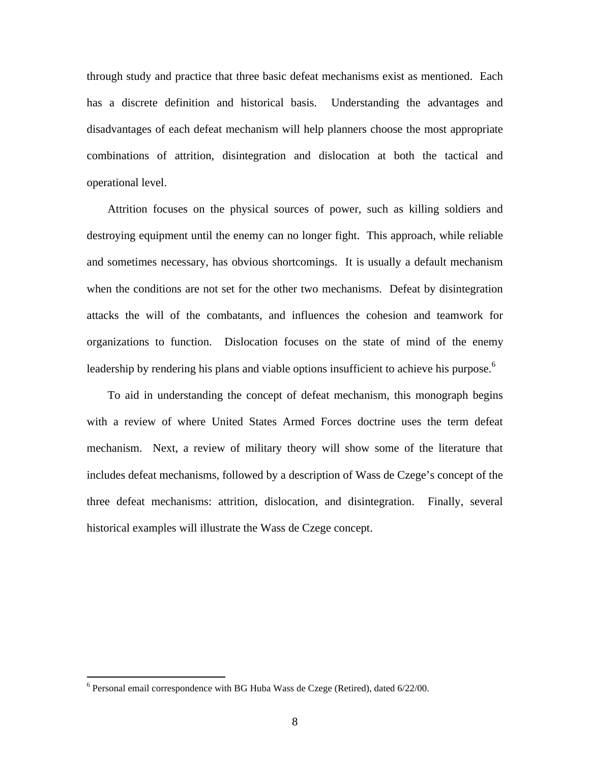through study and practice that three basic defeat mechanisms exist as mentioned. Each has a discrete definition and historical basis. Understanding the advantages and disadvantages of each defeat mechanism will help planners choose the most appropriate combinations of attrition, disintegration and dislocation at both the tactical and operational level.

Attrition focuses on the physical sources of power, such as killing soldiers and destroying equipment until the enemy can no longer fight. This approach, while reliable and sometimes necessary, has obvious shortcomings. It is usually a default mechanism when the conditions are not set for the other two mechanisms. Defeat by disintegration attacks the will of the combatants, and influences the cohesion and teamwork for organizations to function. Dislocation focuses on the state of mind of the enemy leadership by rendering his plans and viable options insufficient to achieve his purpose.<sup>6</sup>

To aid in understanding the concept of defeat mechanism, this monograph begins with a review of where United States Armed Forces doctrine uses the term defeat mechanism. Next, a review of military theory will show some of the literature that includes defeat mechanisms, followed by a description of Wass de Czege's concept of the three defeat mechanisms: attrition, dislocation, and disintegration. Finally, several historical examples will illustrate the Wass de Czege concept.

 $6$  Personal email correspondence with BG Huba Wass de Czege (Retired), dated 6/22/00.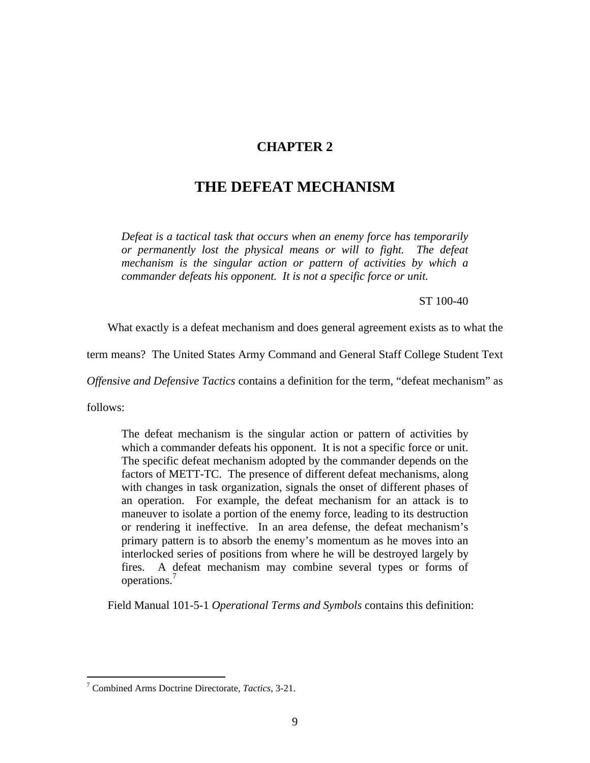### **CHAPTER 2**

### **THE DEFEAT MECHANISM**

*Defeat is a tactical task that occurs when an enemy force has temporarily or permanently lost the physical means or will to fight. The defeat mechanism is the singular action or pattern of activities by which a commander defeats his opponent. It is not a specific force or unit.*

ST 100-40

What exactly is a defeat mechanism and does general agreement exists as to what the

term means? The United States Army Command and General Staff College Student Text

*Offensive and Defensive Tactics* contains a definition for the term, "defeat mechanism" as

follows:

 $\overline{a}$ 

The defeat mechanism is the singular action or pattern of activities by which a commander defeats his opponent. It is not a specific force or unit. The specific defeat mechanism adopted by the commander depends on the factors of METT-TC. The presence of different defeat mechanisms, along with changes in task organization, signals the onset of different phases of an operation. For example, the defeat mechanism for an attack is to maneuver to isolate a portion of the enemy force, leading to its destruction or rendering it ineffective. In an area defense, the defeat mechanism's primary pattern is to absorb the enemy's momentum as he moves into an interlocked series of positions from where he will be destroyed largely by fires. A defeat mechanism may combine several types or forms of operations.<sup>7</sup>

Field Manual 101-5-1 *Operational Terms and Symbols* contains this definition:

<sup>7</sup> Combined Arms Doctrine Directorate, *Tactics*, 3-21.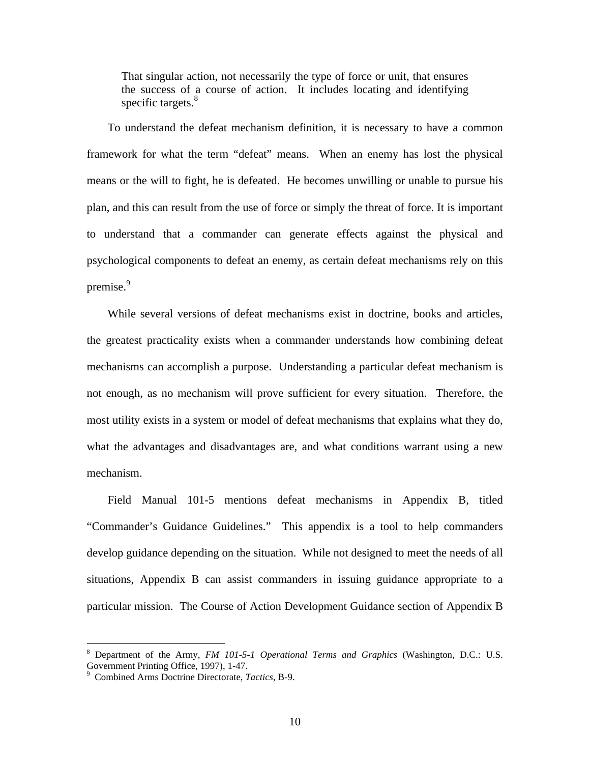That singular action, not necessarily the type of force or unit, that ensures the success of a course of action. It includes locating and identifying specific targets.<sup>8</sup>

To understand the defeat mechanism definition, it is necessary to have a common framework for what the term "defeat" means. When an enemy has lost the physical means or the will to fight, he is defeated. He becomes unwilling or unable to pursue his plan, and this can result from the use of force or simply the threat of force. It is important to understand that a commander can generate effects against the physical and psychological components to defeat an enemy, as certain defeat mechanisms rely on this premise.<sup>9</sup>

While several versions of defeat mechanisms exist in doctrine, books and articles, the greatest practicality exists when a commander understands how combining defeat mechanisms can accomplish a purpose. Understanding a particular defeat mechanism is not enough, as no mechanism will prove sufficient for every situation. Therefore, the most utility exists in a system or model of defeat mechanisms that explains what they do, what the advantages and disadvantages are, and what conditions warrant using a new mechanism.

Field Manual 101-5 mentions defeat mechanisms in Appendix B, titled "Commander's Guidance Guidelines." This appendix is a tool to help commanders develop guidance depending on the situation. While not designed to meet the needs of all situations, Appendix B can assist commanders in issuing guidance appropriate to a particular mission. The Course of Action Development Guidance section of Appendix B

<sup>8</sup> Department of the Army, *FM 101-5-1 Operational Terms and Graphics* (Washington, D.C.: U.S. Government Printing Office, 1997), 1-47. 9 Combined Arms Doctrine Directorate, *Tactics*, B-9.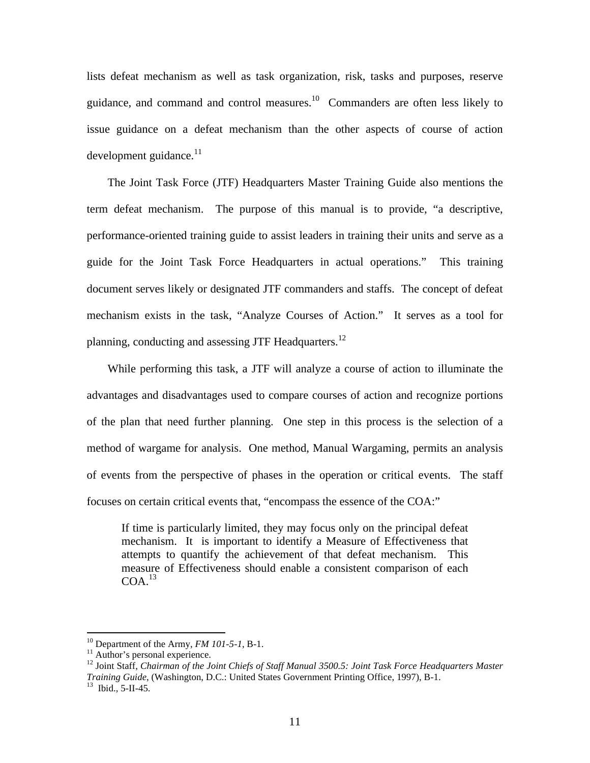lists defeat mechanism as well as task organization, risk, tasks and purposes, reserve guidance, and command and control measures.<sup>10</sup> Commanders are often less likely to issue guidance on a defeat mechanism than the other aspects of course of action development guidance. $11$ 

The Joint Task Force (JTF) Headquarters Master Training Guide also mentions the term defeat mechanism. The purpose of this manual is to provide, "a descriptive, performance-oriented training guide to assist leaders in training their units and serve as a guide for the Joint Task Force Headquarters in actual operations." This training document serves likely or designated JTF commanders and staffs. The concept of defeat mechanism exists in the task, "Analyze Courses of Action." It serves as a tool for planning, conducting and assessing JTF Headquarters.<sup>12</sup>

While performing this task, a JTF will analyze a course of action to illuminate the advantages and disadvantages used to compare courses of action and recognize portions of the plan that need further planning. One step in this process is the selection of a method of wargame for analysis. One method, Manual Wargaming, permits an analysis of events from the perspective of phases in the operation or critical events. The staff focuses on certain critical events that, "encompass the essence of the COA:"

If time is particularly limited, they may focus only on the principal defeat mechanism. It is important to identify a Measure of Effectiveness that attempts to quantify the achievement of that defeat mechanism. This measure of Effectiveness should enable a consistent comparison of each  $COA<sup>13</sup>$ 

<sup>10</sup> Department of the Army, *FM 101-5-1*, B-1.

<sup>&</sup>lt;sup>11</sup> Author's personal experience.

<sup>&</sup>lt;sup>12</sup> Joint Staff, *Chairman of the Joint Chiefs of Staff Manual 3500.5: Joint Task Force Headquarters Master Training Guide*, (Washington, D.C.: United States Government Printing Office, 1997), B-1.

 $13$  Ibid., 5-II-45.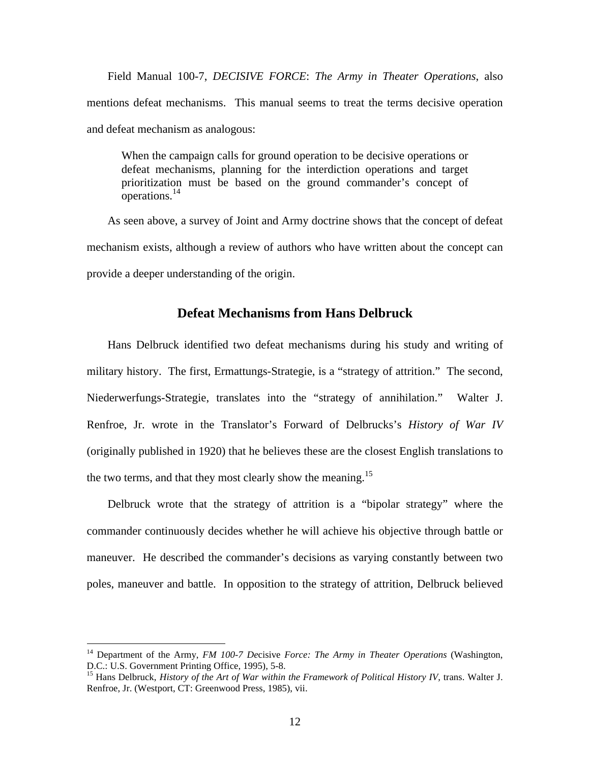Field Manual 100-7, *DECISIVE FORCE*: *The Army in Theater Operations*, also mentions defeat mechanisms. This manual seems to treat the terms decisive operation and defeat mechanism as analogous:

When the campaign calls for ground operation to be decisive operations or defeat mechanisms, planning for the interdiction operations and target prioritization must be based on the ground commander's concept of operations.<sup>14</sup>

As seen above, a survey of Joint and Army doctrine shows that the concept of defeat mechanism exists, although a review of authors who have written about the concept can provide a deeper understanding of the origin.

### **Defeat Mechanisms from Hans Delbruck**

Hans Delbruck identified two defeat mechanisms during his study and writing of military history. The first, Ermattungs-Strategie, is a "strategy of attrition." The second, Niederwerfungs-Strategie, translates into the "strategy of annihilation." Walter J. Renfroe, Jr. wrote in the Translator's Forward of Delbrucks's *History of War IV* (originally published in 1920) that he believes these are the closest English translations to the two terms, and that they most clearly show the meaning.<sup>15</sup>

Delbruck wrote that the strategy of attrition is a "bipolar strategy" where the commander continuously decides whether he will achieve his objective through battle or maneuver. He described the commander's decisions as varying constantly between two poles, maneuver and battle. In opposition to the strategy of attrition, Delbruck believed

<sup>14</sup> Department of the Army, *FM 100-7 De*cisive *Force: The Army in Theater Operations* (Washington, D.C.: U.S. Government Printing Office, 1995), 5-8.

<sup>&</sup>lt;sup>15</sup> Hans Delbruck, *History of the Art of War within the Framework of Political History IV*, trans. Walter J. Renfroe, Jr. (Westport, CT: Greenwood Press, 1985), vii.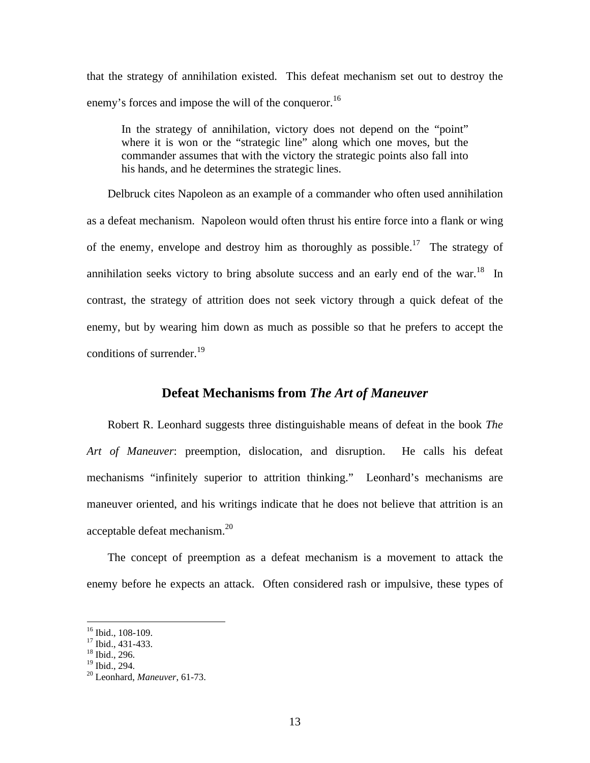that the strategy of annihilation existed. This defeat mechanism set out to destroy the enemy's forces and impose the will of the conqueror.<sup>16</sup>

In the strategy of annihilation, victory does not depend on the "point" where it is won or the "strategic line" along which one moves, but the commander assumes that with the victory the strategic points also fall into his hands, and he determines the strategic lines.

Delbruck cites Napoleon as an example of a commander who often used annihilation as a defeat mechanism. Napoleon would often thrust his entire force into a flank or wing of the enemy, envelope and destroy him as thoroughly as possible.<sup>17</sup> The strategy of annihilation seeks victory to bring absolute success and an early end of the war.<sup>18</sup> In contrast, the strategy of attrition does not seek victory through a quick defeat of the enemy, but by wearing him down as much as possible so that he prefers to accept the conditions of surrender.<sup>19</sup>

### **Defeat Mechanisms from** *The Art of Maneuver*

Robert R. Leonhard suggests three distinguishable means of defeat in the book *The Art of Maneuver*: preemption, dislocation, and disruption. He calls his defeat mechanisms "infinitely superior to attrition thinking." Leonhard's mechanisms are maneuver oriented, and his writings indicate that he does not believe that attrition is an acceptable defeat mechanism. $^{20}$ 

The concept of preemption as a defeat mechanism is a movement to attack the enemy before he expects an attack. Often considered rash or impulsive, these types of

<sup>&</sup>lt;sup>16</sup> Ibid., 108-109.

<sup>&</sup>lt;sup>17</sup> Ibid., 431-433.

<sup>18</sup> Ibid., 296.

<sup>&</sup>lt;sup>19</sup> Ibid., 294.

<sup>20</sup> Leonhard, *Maneuver*, 61-73.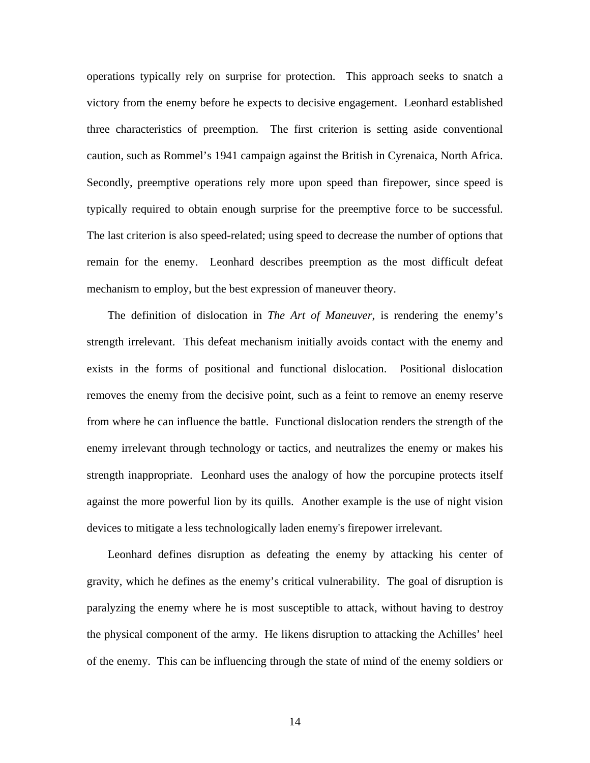operations typically rely on surprise for protection. This approach seeks to snatch a victory from the enemy before he expects to decisive engagement. Leonhard established three characteristics of preemption. The first criterion is setting aside conventional caution, such as Rommel's 1941 campaign against the British in Cyrenaica, North Africa. Secondly, preemptive operations rely more upon speed than firepower, since speed is typically required to obtain enough surprise for the preemptive force to be successful. The last criterion is also speed-related; using speed to decrease the number of options that remain for the enemy. Leonhard describes preemption as the most difficult defeat mechanism to employ, but the best expression of maneuver theory.

The definition of dislocation in *The Art of Maneuver*, is rendering the enemy's strength irrelevant. This defeat mechanism initially avoids contact with the enemy and exists in the forms of positional and functional dislocation. Positional dislocation removes the enemy from the decisive point, such as a feint to remove an enemy reserve from where he can influence the battle. Functional dislocation renders the strength of the enemy irrelevant through technology or tactics, and neutralizes the enemy or makes his strength inappropriate. Leonhard uses the analogy of how the porcupine protects itself against the more powerful lion by its quills. Another example is the use of night vision devices to mitigate a less technologically laden enemy's firepower irrelevant.

Leonhard defines disruption as defeating the enemy by attacking his center of gravity, which he defines as the enemy's critical vulnerability. The goal of disruption is paralyzing the enemy where he is most susceptible to attack, without having to destroy the physical component of the army. He likens disruption to attacking the Achilles' heel of the enemy. This can be influencing through the state of mind of the enemy soldiers or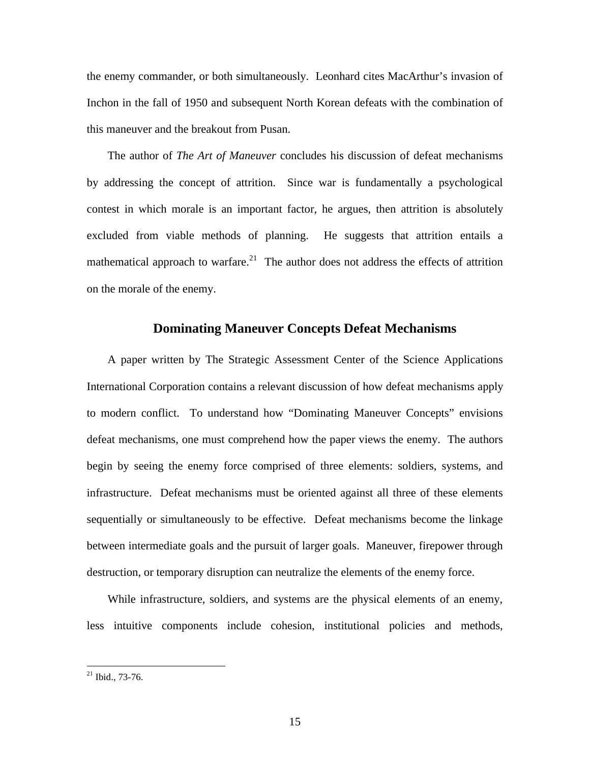the enemy commander, or both simultaneously. Leonhard cites MacArthur's invasion of Inchon in the fall of 1950 and subsequent North Korean defeats with the combination of this maneuver and the breakout from Pusan.

The author of *The Art of Maneuver* concludes his discussion of defeat mechanisms by addressing the concept of attrition. Since war is fundamentally a psychological contest in which morale is an important factor, he argues, then attrition is absolutely excluded from viable methods of planning. He suggests that attrition entails a mathematical approach to warfare.<sup>21</sup> The author does not address the effects of attrition on the morale of the enemy.

#### **Dominating Maneuver Concepts Defeat Mechanisms**

A paper written by The Strategic Assessment Center of the Science Applications International Corporation contains a relevant discussion of how defeat mechanisms apply to modern conflict. To understand how "Dominating Maneuver Concepts" envisions defeat mechanisms, one must comprehend how the paper views the enemy. The authors begin by seeing the enemy force comprised of three elements: soldiers, systems, and infrastructure. Defeat mechanisms must be oriented against all three of these elements sequentially or simultaneously to be effective. Defeat mechanisms become the linkage between intermediate goals and the pursuit of larger goals. Maneuver, firepower through destruction, or temporary disruption can neutralize the elements of the enemy force.

While infrastructure, soldiers, and systems are the physical elements of an enemy, less intuitive components include cohesion, institutional policies and methods,

 $21$  Ibid., 73-76.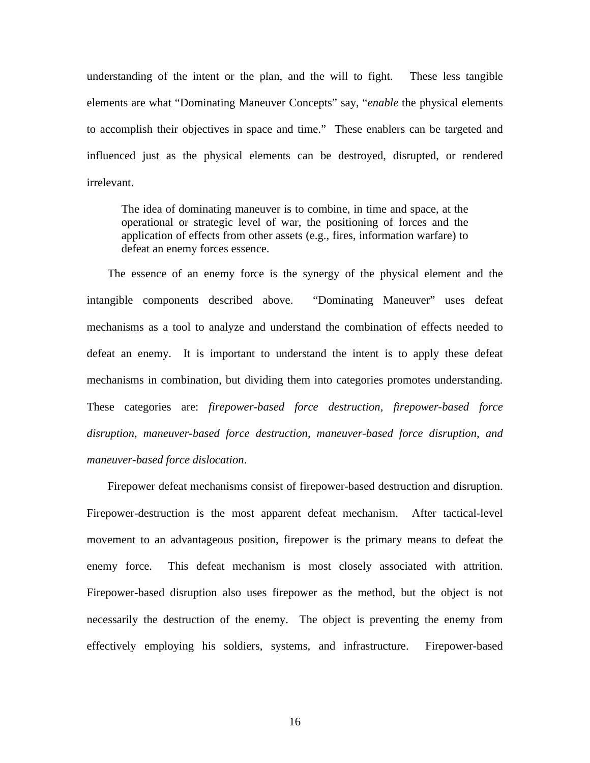understanding of the intent or the plan, and the will to fight. These less tangible elements are what "Dominating Maneuver Concepts" say, "*enable* the physical elements to accomplish their objectives in space and time." These enablers can be targeted and influenced just as the physical elements can be destroyed, disrupted, or rendered irrelevant.

The idea of dominating maneuver is to combine, in time and space, at the operational or strategic level of war, the positioning of forces and the application of effects from other assets (e.g., fires, information warfare) to defeat an enemy forces essence.

The essence of an enemy force is the synergy of the physical element and the intangible components described above. "Dominating Maneuver" uses defeat mechanisms as a tool to analyze and understand the combination of effects needed to defeat an enemy. It is important to understand the intent is to apply these defeat mechanisms in combination, but dividing them into categories promotes understanding. These categories are: *firepower-based force destruction, firepower-based force disruption, maneuver-based force destruction, maneuver-based force disruption, and maneuver-based force dislocation*.

Firepower defeat mechanisms consist of firepower-based destruction and disruption. Firepower-destruction is the most apparent defeat mechanism. After tactical-level movement to an advantageous position, firepower is the primary means to defeat the enemy force. This defeat mechanism is most closely associated with attrition. Firepower-based disruption also uses firepower as the method, but the object is not necessarily the destruction of the enemy. The object is preventing the enemy from effectively employing his soldiers, systems, and infrastructure. Firepower-based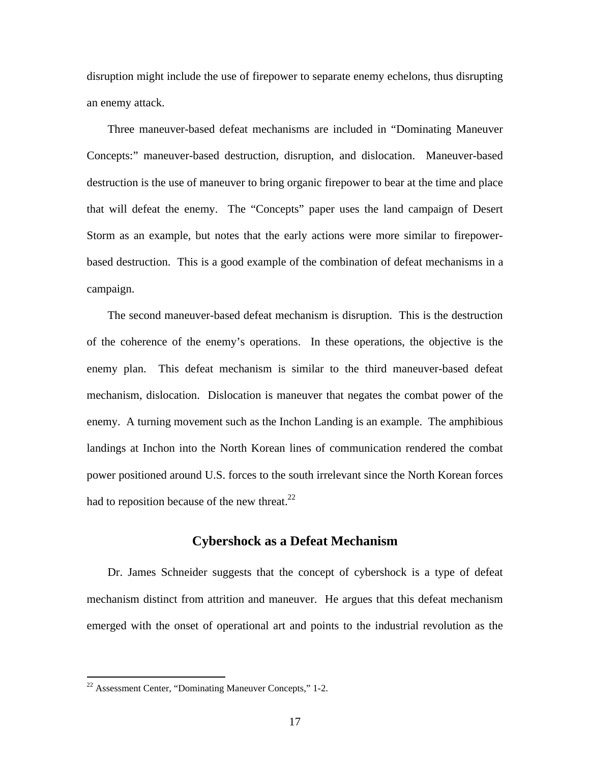disruption might include the use of firepower to separate enemy echelons, thus disrupting an enemy attack.

Three maneuver-based defeat mechanisms are included in "Dominating Maneuver Concepts:" maneuver-based destruction, disruption, and dislocation. Maneuver-based destruction is the use of maneuver to bring organic firepower to bear at the time and place that will defeat the enemy. The "Concepts" paper uses the land campaign of Desert Storm as an example, but notes that the early actions were more similar to firepowerbased destruction. This is a good example of the combination of defeat mechanisms in a campaign.

The second maneuver-based defeat mechanism is disruption. This is the destruction of the coherence of the enemy's operations. In these operations, the objective is the enemy plan. This defeat mechanism is similar to the third maneuver-based defeat mechanism, dislocation. Dislocation is maneuver that negates the combat power of the enemy. A turning movement such as the Inchon Landing is an example. The amphibious landings at Inchon into the North Korean lines of communication rendered the combat power positioned around U.S. forces to the south irrelevant since the North Korean forces had to reposition because of the new threat. $^{22}$ 

#### **Cybershock as a Defeat Mechanism**

Dr. James Schneider suggests that the concept of cybershock is a type of defeat mechanism distinct from attrition and maneuver. He argues that this defeat mechanism emerged with the onset of operational art and points to the industrial revolution as the

 $22$  Assessment Center, "Dominating Maneuver Concepts," 1-2.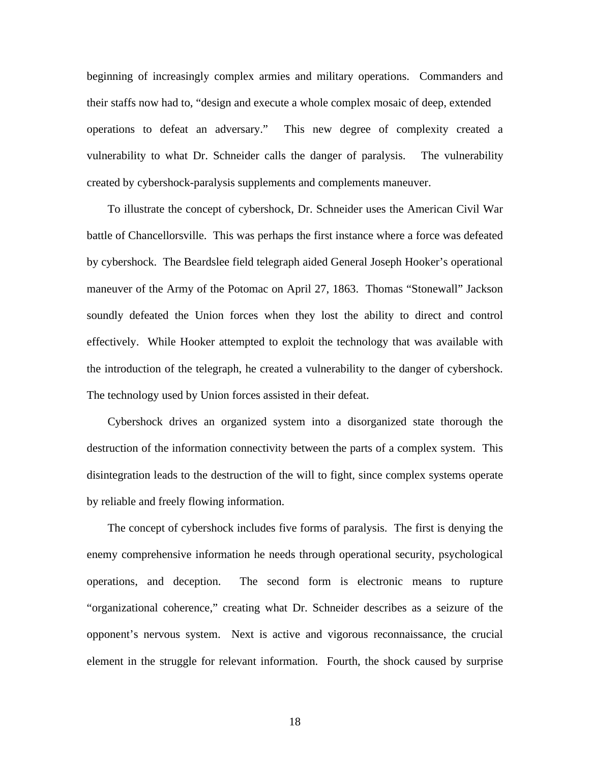beginning of increasingly complex armies and military operations. Commanders and their staffs now had to, "design and execute a whole complex mosaic of deep, extended operations to defeat an adversary." This new degree of complexity created a vulnerability to what Dr. Schneider calls the danger of paralysis. The vulnerability created by cybershock-paralysis supplements and complements maneuver.

To illustrate the concept of cybershock, Dr. Schneider uses the American Civil War battle of Chancellorsville. This was perhaps the first instance where a force was defeated by cybershock. The Beardslee field telegraph aided General Joseph Hooker's operational maneuver of the Army of the Potomac on April 27, 1863. Thomas "Stonewall" Jackson soundly defeated the Union forces when they lost the ability to direct and control effectively. While Hooker attempted to exploit the technology that was available with the introduction of the telegraph, he created a vulnerability to the danger of cybershock. The technology used by Union forces assisted in their defeat.

Cybershock drives an organized system into a disorganized state thorough the destruction of the information connectivity between the parts of a complex system. This disintegration leads to the destruction of the will to fight, since complex systems operate by reliable and freely flowing information.

The concept of cybershock includes five forms of paralysis. The first is denying the enemy comprehensive information he needs through operational security, psychological operations, and deception. The second form is electronic means to rupture "organizational coherence," creating what Dr. Schneider describes as a seizure of the opponent's nervous system. Next is active and vigorous reconnaissance, the crucial element in the struggle for relevant information. Fourth, the shock caused by surprise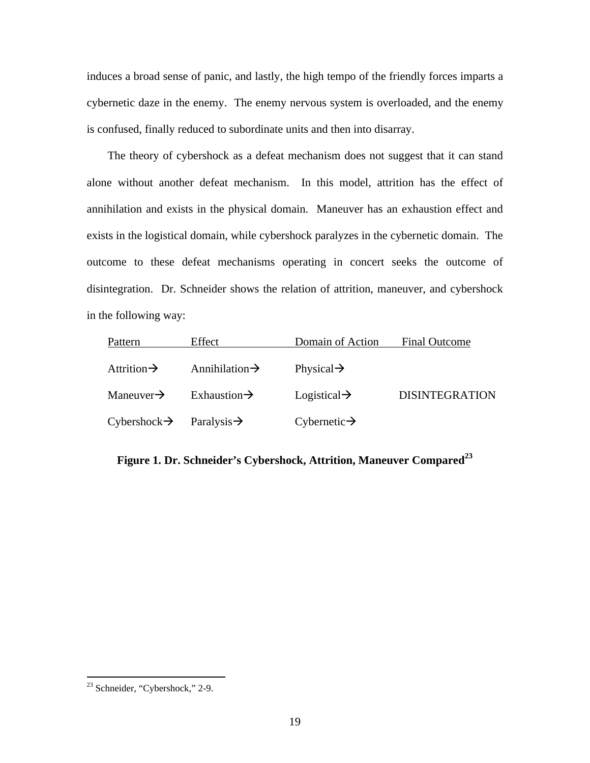induces a broad sense of panic, and lastly, the high tempo of the friendly forces imparts a cybernetic daze in the enemy. The enemy nervous system is overloaded, and the enemy is confused, finally reduced to subordinate units and then into disarray.

The theory of cybershock as a defeat mechanism does not suggest that it can stand alone without another defeat mechanism. In this model, attrition has the effect of annihilation and exists in the physical domain. Maneuver has an exhaustion effect and exists in the logistical domain, while cybershock paralyzes in the cybernetic domain. The outcome to these defeat mechanisms operating in concert seeks the outcome of disintegration. Dr. Schneider shows the relation of attrition, maneuver, and cybershock in the following way:

| Pattern                                          | Effect                     | Domain of Action         | <b>Final Outcome</b>  |
|--------------------------------------------------|----------------------------|--------------------------|-----------------------|
| Attrition $\rightarrow$                          | Annihilation $\rightarrow$ | Physical $\rightarrow$   |                       |
| Maneuver $\rightarrow$                           | Exhaustion $\rightarrow$   | Logistical $\rightarrow$ | <b>DISINTEGRATION</b> |
| $Cybershock \rightarrow$ Paralysis $\rightarrow$ |                            | Cybernetic $\rightarrow$ |                       |

**Figure 1. Dr. Schneider's Cybershock, Attrition, Maneuver Compared<sup>23</sup>**

<sup>&</sup>lt;sup>23</sup> Schneider, "Cybershock," 2-9.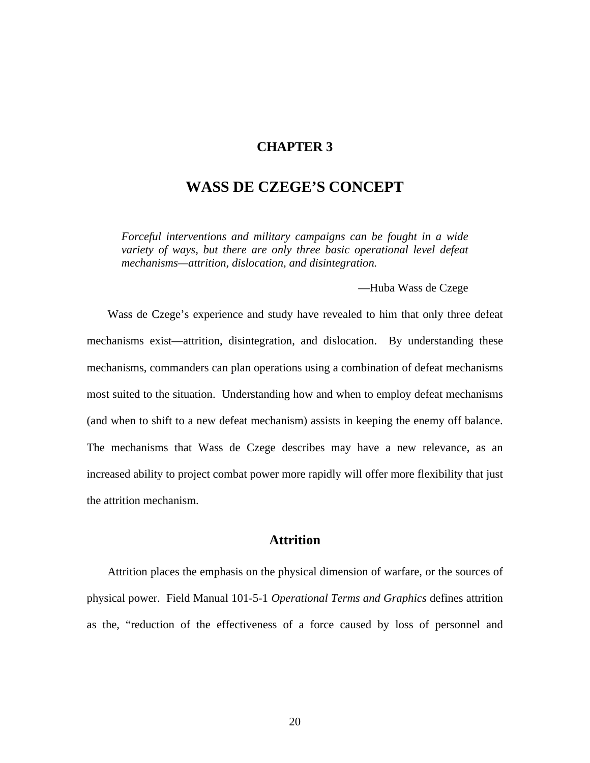### **CHAPTER 3**

### **WASS DE CZEGE'S CONCEPT**

*Forceful interventions and military campaigns can be fought in a wide variety of ways, but there are only three basic operational level defeat mechanisms—attrition, dislocation, and disintegration.*

—Huba Wass de Czege

Wass de Czege's experience and study have revealed to him that only three defeat mechanisms exist—attrition, disintegration, and dislocation. By understanding these mechanisms, commanders can plan operations using a combination of defeat mechanisms most suited to the situation. Understanding how and when to employ defeat mechanisms (and when to shift to a new defeat mechanism) assists in keeping the enemy off balance. The mechanisms that Wass de Czege describes may have a new relevance, as an increased ability to project combat power more rapidly will offer more flexibility that just the attrition mechanism.

### **Attrition**

Attrition places the emphasis on the physical dimension of warfare, or the sources of physical power. Field Manual 101-5-1 *Operational Terms and Graphics* defines attrition as the, "reduction of the effectiveness of a force caused by loss of personnel and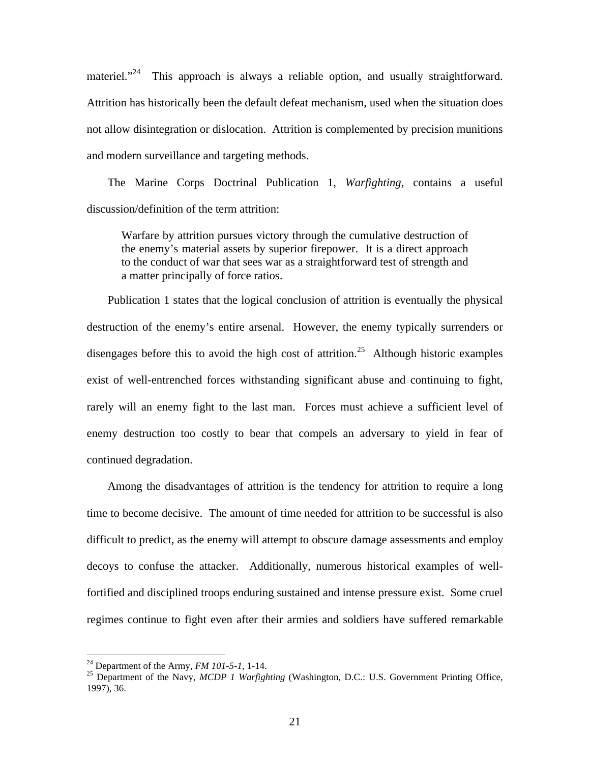materiel."<sup>24</sup> This approach is always a reliable option, and usually straightforward. Attrition has historically been the default defeat mechanism, used when the situation does not allow disintegration or dislocation. Attrition is complemented by precision munitions and modern surveillance and targeting methods.

The Marine Corps Doctrinal Publication 1, *Warfighting*, contains a useful discussion/definition of the term attrition:

Warfare by attrition pursues victory through the cumulative destruction of the enemy's material assets by superior firepower. It is a direct approach to the conduct of war that sees war as a straightforward test of strength and a matter principally of force ratios.

Publication 1 states that the logical conclusion of attrition is eventually the physical destruction of the enemy's entire arsenal. However, the enemy typically surrenders or disengages before this to avoid the high cost of attrition.<sup>25</sup> Although historic examples exist of well-entrenched forces withstanding significant abuse and continuing to fight, rarely will an enemy fight to the last man. Forces must achieve a sufficient level of enemy destruction too costly to bear that compels an adversary to yield in fear of continued degradation.

Among the disadvantages of attrition is the tendency for attrition to require a long time to become decisive. The amount of time needed for attrition to be successful is also difficult to predict, as the enemy will attempt to obscure damage assessments and employ decoys to confuse the attacker. Additionally, numerous historical examples of wellfortified and disciplined troops enduring sustained and intense pressure exist. Some cruel regimes continue to fight even after their armies and soldiers have suffered remarkable

<sup>24</sup> Department of the Army, *FM 101-5-1*, 1-14.

<sup>&</sup>lt;sup>25</sup> Department of the Navy, *MCDP 1 Warfighting* (Washington, D.C.: U.S. Government Printing Office, 1997), 36.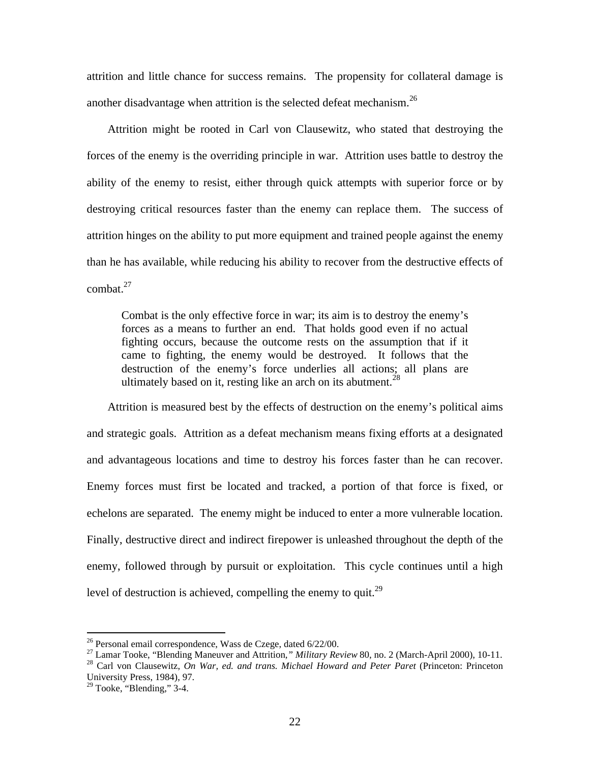attrition and little chance for success remains. The propensity for collateral damage is another disadvantage when attrition is the selected defeat mechanism.<sup>26</sup>

Attrition might be rooted in Carl von Clausewitz, who stated that destroying the forces of the enemy is the overriding principle in war. Attrition uses battle to destroy the ability of the enemy to resist, either through quick attempts with superior force or by destroying critical resources faster than the enemy can replace them. The success of attrition hinges on the ability to put more equipment and trained people against the enemy than he has available, while reducing his ability to recover from the destructive effects of combat  $27$ 

Combat is the only effective force in war; its aim is to destroy the enemy's forces as a means to further an end. That holds good even if no actual fighting occurs, because the outcome rests on the assumption that if it came to fighting, the enemy would be destroyed. It follows that the destruction of the enemy's force underlies all actions; all plans are ultimately based on it, resting like an arch on its abutment.<sup>28</sup>

Attrition is measured best by the effects of destruction on the enemy's political aims and strategic goals. Attrition as a defeat mechanism means fixing efforts at a designated and advantageous locations and time to destroy his forces faster than he can recover. Enemy forces must first be located and tracked, a portion of that force is fixed, or echelons are separated. The enemy might be induced to enter a more vulnerable location. Finally, destructive direct and indirect firepower is unleashed throughout the depth of the enemy, followed through by pursuit or exploitation. This cycle continues until a high level of destruction is achieved, compelling the enemy to quit.<sup>29</sup>

 $^{26}$  Personal email correspondence, Wass de Czege, dated 6/22/00.

<sup>27</sup> Lamar Tooke, "Blending Maneuver and Attrition*," Military Review* 80, no. 2 (March-April 2000), 10-11.

<sup>28</sup> Carl von Clausewitz, *On War, ed. and trans. Michael Howard and Peter Paret* (Princeton: Princeton University Press, 1984), 97.

 $29$  Tooke, "Blending," 3-4.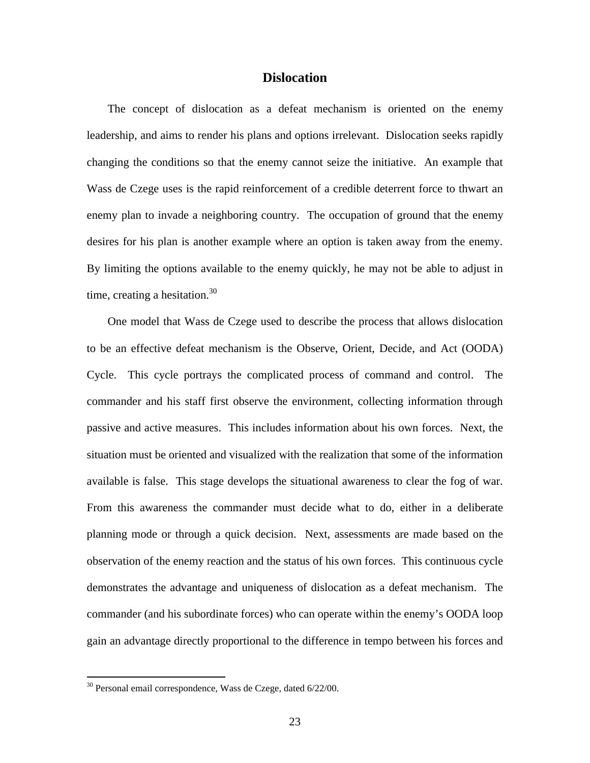#### **Dislocation**

The concept of dislocation as a defeat mechanism is oriented on the enemy leadership, and aims to render his plans and options irrelevant. Dislocation seeks rapidly changing the conditions so that the enemy cannot seize the initiative. An example that Wass de Czege uses is the rapid reinforcement of a credible deterrent force to thwart an enemy plan to invade a neighboring country. The occupation of ground that the enemy desires for his plan is another example where an option is taken away from the enemy. By limiting the options available to the enemy quickly, he may not be able to adjust in time, creating a hesitation. $30$ 

One model that Wass de Czege used to describe the process that allows dislocation to be an effective defeat mechanism is the Observe, Orient, Decide, and Act (OODA) Cycle. This cycle portrays the complicated process of command and control. The commander and his staff first observe the environment, collecting information through passive and active measures. This includes information about his own forces. Next, the situation must be oriented and visualized with the realization that some of the information available is false. This stage develops the situational awareness to clear the fog of war. From this awareness the commander must decide what to do, either in a deliberate planning mode or through a quick decision. Next, assessments are made based on the observation of the enemy reaction and the status of his own forces. This continuous cycle demonstrates the advantage and uniqueness of dislocation as a defeat mechanism. The commander (and his subordinate forces) who can operate within the enemy's OODA loop gain an advantage directly proportional to the difference in tempo between his forces and

<sup>&</sup>lt;sup>30</sup> Personal email correspondence, Wass de Czege, dated 6/22/00.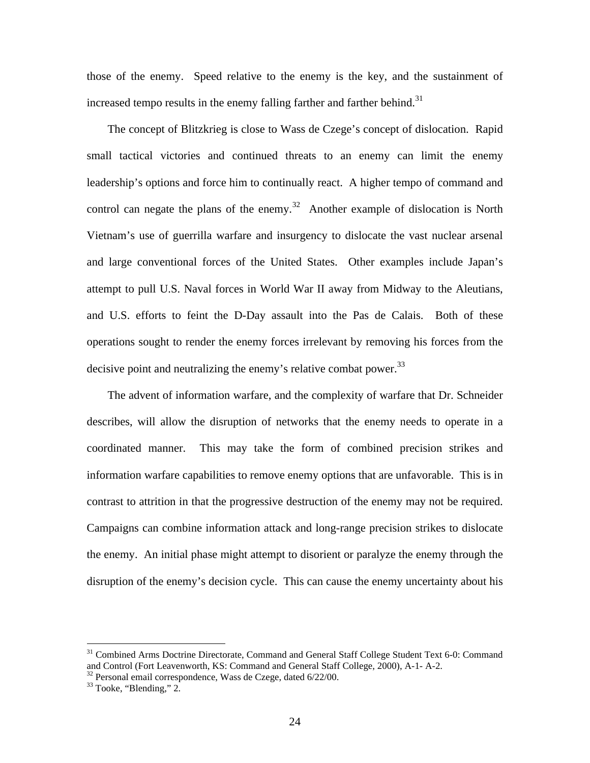those of the enemy. Speed relative to the enemy is the key, and the sustainment of increased tempo results in the enemy falling farther and farther behind.<sup>31</sup>

The concept of Blitzkrieg is close to Wass de Czege's concept of dislocation. Rapid small tactical victories and continued threats to an enemy can limit the enemy leadership's options and force him to continually react. A higher tempo of command and control can negate the plans of the enemy.<sup>32</sup> Another example of dislocation is North Vietnam's use of guerrilla warfare and insurgency to dislocate the vast nuclear arsenal and large conventional forces of the United States. Other examples include Japan's attempt to pull U.S. Naval forces in World War II away from Midway to the Aleutians, and U.S. efforts to feint the D-Day assault into the Pas de Calais. Both of these operations sought to render the enemy forces irrelevant by removing his forces from the decisive point and neutralizing the enemy's relative combat power.  $33$ 

The advent of information warfare, and the complexity of warfare that Dr. Schneider describes, will allow the disruption of networks that the enemy needs to operate in a coordinated manner. This may take the form of combined precision strikes and information warfare capabilities to remove enemy options that are unfavorable. This is in contrast to attrition in that the progressive destruction of the enemy may not be required. Campaigns can combine information attack and long-range precision strikes to dislocate the enemy. An initial phase might attempt to disorient or paralyze the enemy through the disruption of the enemy's decision cycle. This can cause the enemy uncertainty about his

<sup>&</sup>lt;sup>31</sup> Combined Arms Doctrine Directorate, Command and General Staff College Student Text 6-0: Command and Control (Fort Leavenworth, KS: Command and General Staff College, 2000), A-1- A-2.

 $32$  Personal email correspondence, Wass de Czege, dated  $6/22/00$ .

 $33$  Tooke, "Blending," 2.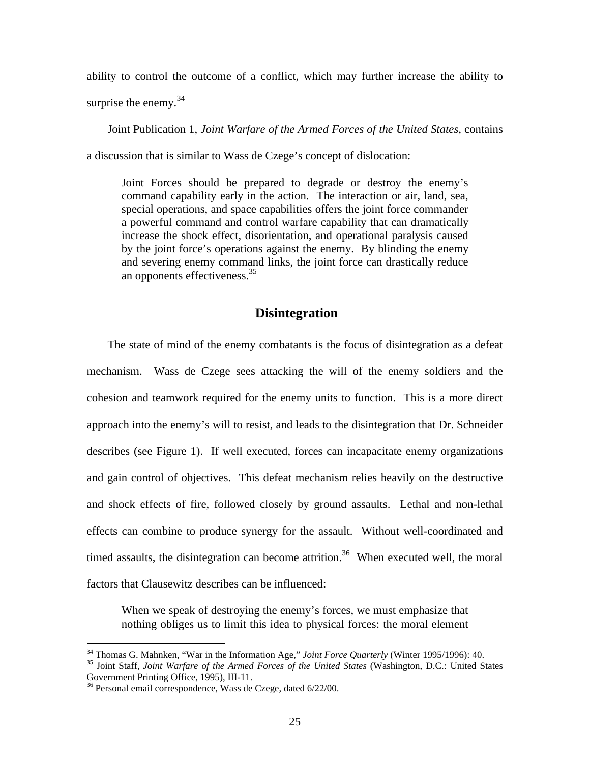ability to control the outcome of a conflict, which may further increase the ability to surprise the enemy.  $34$ 

Joint Publication 1, *Joint Warfare of the Armed Forces of the United States*, contains a discussion that is similar to Wass de Czege's concept of dislocation:

Joint Forces should be prepared to degrade or destroy the enemy's command capability early in the action. The interaction or air, land, sea, special operations, and space capabilities offers the joint force commander a powerful command and control warfare capability that can dramatically increase the shock effect, disorientation, and operational paralysis caused by the joint force's operations against the enemy. By blinding the enemy and severing enemy command links, the joint force can drastically reduce an opponents effectiveness.<sup>35</sup>

#### **Disintegration**

The state of mind of the enemy combatants is the focus of disintegration as a defeat mechanism. Wass de Czege sees attacking the will of the enemy soldiers and the cohesion and teamwork required for the enemy units to function. This is a more direct approach into the enemy's will to resist, and leads to the disintegration that Dr. Schneider describes (see Figure 1). If well executed, forces can incapacitate enemy organizations and gain control of objectives. This defeat mechanism relies heavily on the destructive and shock effects of fire, followed closely by ground assaults. Lethal and non-lethal effects can combine to produce synergy for the assault. Without well-coordinated and timed assaults, the disintegration can become attrition.<sup>36</sup> When executed well, the moral factors that Clausewitz describes can be influenced:

When we speak of destroying the enemy's forces, we must emphasize that nothing obliges us to limit this idea to physical forces: the moral element

<sup>34</sup> Thomas G. Mahnken, "War in the Information Age," *Joint Force Quarterly* (Winter 1995/1996): 40.

<sup>35</sup> Joint Staff, *Joint Warfare of the Armed Forces of the United States* (Washington, D.C.: United States Government Printing Office, 1995), III-11.

<sup>&</sup>lt;sup>36</sup> Personal email correspondence, Wass de Czege, dated 6/22/00.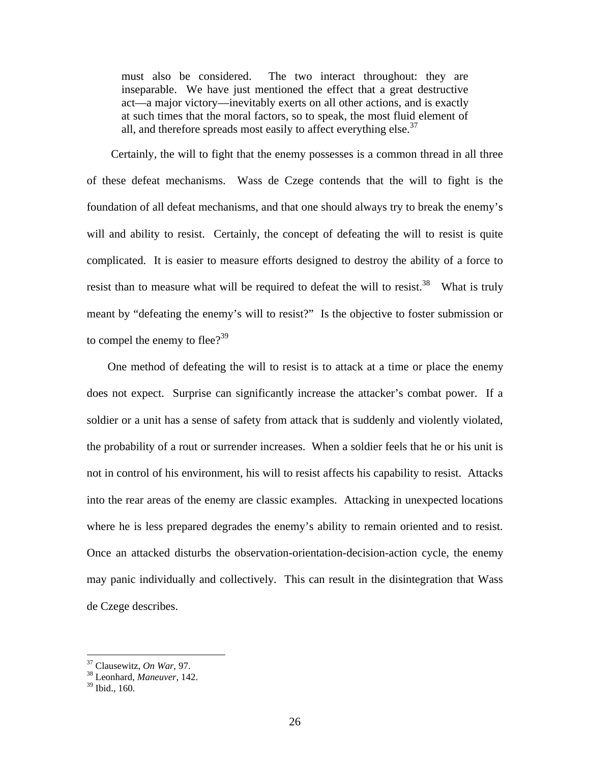must also be considered. The two interact throughout: they are inseparable. We have just mentioned the effect that a great destructive act—a major victory—inevitably exerts on all other actions, and is exactly at such times that the moral factors, so to speak, the most fluid element of all, and therefore spreads most easily to affect everything else.<sup>37</sup>

 Certainly, the will to fight that the enemy possesses is a common thread in all three of these defeat mechanisms. Wass de Czege contends that the will to fight is the foundation of all defeat mechanisms, and that one should always try to break the enemy's will and ability to resist. Certainly, the concept of defeating the will to resist is quite complicated. It is easier to measure efforts designed to destroy the ability of a force to resist than to measure what will be required to defeat the will to resist.<sup>38</sup> What is truly meant by "defeating the enemy's will to resist?" Is the objective to foster submission or to compel the enemy to flee?<sup>39</sup>

One method of defeating the will to resist is to attack at a time or place the enemy does not expect. Surprise can significantly increase the attacker's combat power. If a soldier or a unit has a sense of safety from attack that is suddenly and violently violated, the probability of a rout or surrender increases. When a soldier feels that he or his unit is not in control of his environment, his will to resist affects his capability to resist. Attacks into the rear areas of the enemy are classic examples. Attacking in unexpected locations where he is less prepared degrades the enemy's ability to remain oriented and to resist. Once an attacked disturbs the observation-orientation-decision-action cycle, the enemy may panic individually and collectively. This can result in the disintegration that Wass de Czege describes.

<sup>37</sup> Clausewitz, *On War,* 97.

<sup>38</sup> Leonhard, *Maneuver*, 142.

 $39$  Ibid., 160.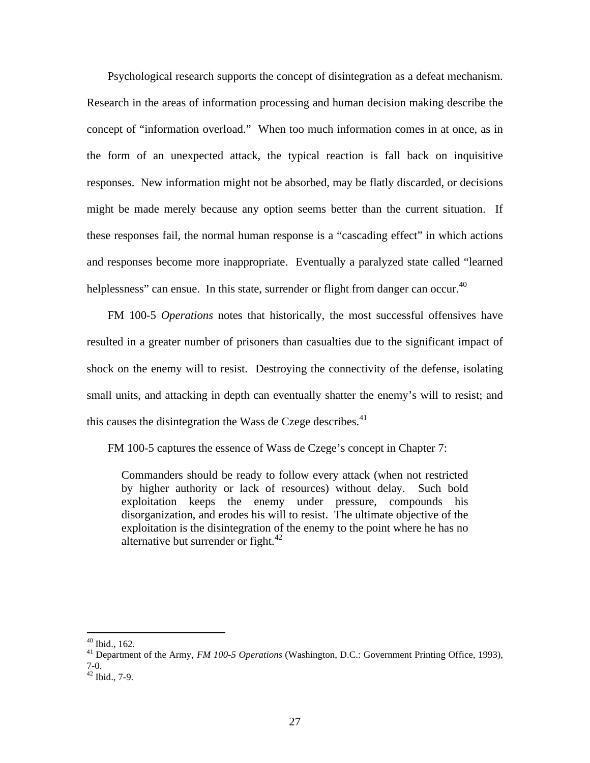Psychological research supports the concept of disintegration as a defeat mechanism. Research in the areas of information processing and human decision making describe the concept of "information overload." When too much information comes in at once, as in the form of an unexpected attack, the typical reaction is fall back on inquisitive responses. New information might not be absorbed, may be flatly discarded, or decisions might be made merely because any option seems better than the current situation. If these responses fail, the normal human response is a "cascading effect" in which actions and responses become more inappropriate. Eventually a paralyzed state called "learned helplessness" can ensue. In this state, surrender or flight from danger can occur.<sup>40</sup>

FM 100-5 *Operations* notes that historically, the most successful offensives have resulted in a greater number of prisoners than casualties due to the significant impact of shock on the enemy will to resist. Destroying the connectivity of the defense, isolating small units, and attacking in depth can eventually shatter the enemy's will to resist; and this causes the disintegration the Wass de Czege describes. $41$ 

FM 100-5 captures the essence of Wass de Czege's concept in Chapter 7:

Commanders should be ready to follow every attack (when not restricted by higher authority or lack of resources) without delay. Such bold exploitation keeps the enemy under pressure, compounds his disorganization, and erodes his will to resist. The ultimate objective of the exploitation is the disintegration of the enemy to the point where he has no alternative but surrender or fight.<sup>42</sup>

 $40$  Ibid., 162.

<sup>41</sup> Department of the Army, *FM 100-5 Operations* (Washington, D.C.: Government Printing Office, 1993),

<sup>7-0.</sup>

 $42$  Ibid., 7-9.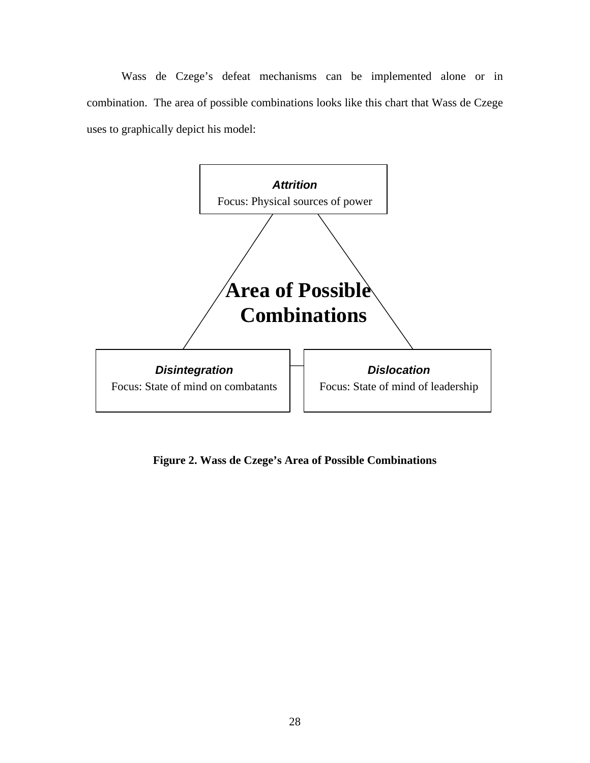Wass de Czege's defeat mechanisms can be implemented alone or in combination. The area of possible combinations looks like this chart that Wass de Czege uses to graphically depict his model:



**Figure 2. Wass de Czege's Area of Possible Combinations**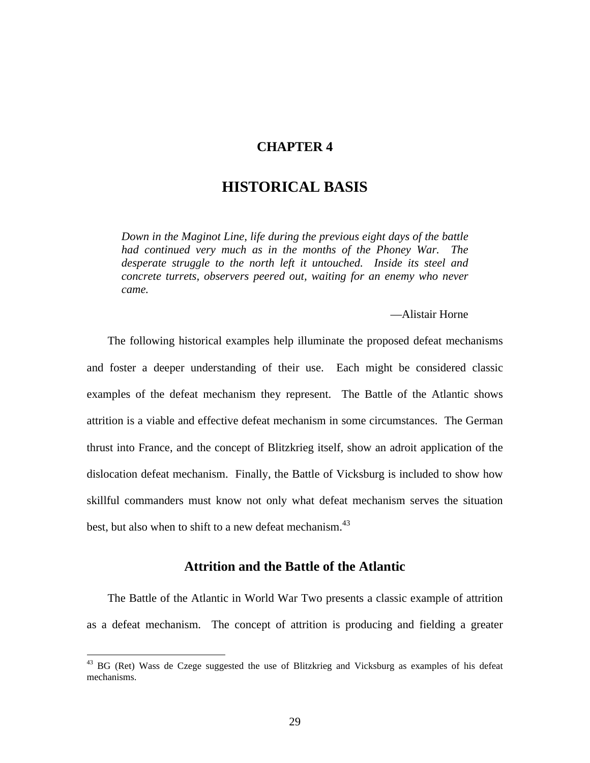### **CHAPTER 4**

### **HISTORICAL BASIS**

*Down in the Maginot Line, life during the previous eight days of the battle had continued very much as in the months of the Phoney War. The desperate struggle to the north left it untouched. Inside its steel and concrete turrets, observers peered out, waiting for an enemy who never came.*

—Alistair Horne

The following historical examples help illuminate the proposed defeat mechanisms and foster a deeper understanding of their use. Each might be considered classic examples of the defeat mechanism they represent. The Battle of the Atlantic shows attrition is a viable and effective defeat mechanism in some circumstances. The German thrust into France, and the concept of Blitzkrieg itself, show an adroit application of the dislocation defeat mechanism. Finally, the Battle of Vicksburg is included to show how skillful commanders must know not only what defeat mechanism serves the situation best, but also when to shift to a new defeat mechanism. $43$ 

#### **Attrition and the Battle of the Atlantic**

The Battle of the Atlantic in World War Two presents a classic example of attrition as a defeat mechanism. The concept of attrition is producing and fielding a greater

<sup>&</sup>lt;sup>43</sup> BG (Ret) Wass de Czege suggested the use of Blitzkrieg and Vicksburg as examples of his defeat mechanisms.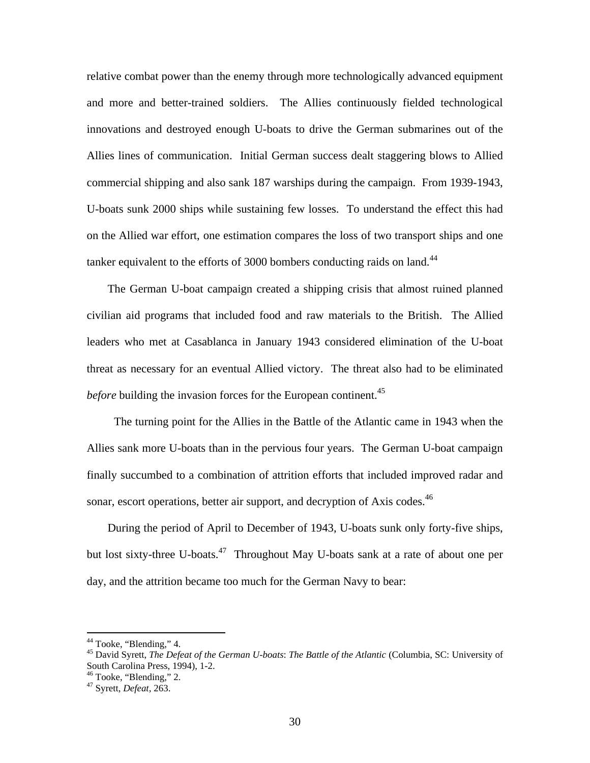relative combat power than the enemy through more technologically advanced equipment and more and better-trained soldiers. The Allies continuously fielded technological innovations and destroyed enough U-boats to drive the German submarines out of the Allies lines of communication. Initial German success dealt staggering blows to Allied commercial shipping and also sank 187 warships during the campaign. From 1939-1943, U-boats sunk 2000 ships while sustaining few losses. To understand the effect this had on the Allied war effort, one estimation compares the loss of two transport ships and one tanker equivalent to the efforts of 3000 bombers conducting raids on land.<sup>44</sup>

The German U-boat campaign created a shipping crisis that almost ruined planned civilian aid programs that included food and raw materials to the British. The Allied leaders who met at Casablanca in January 1943 considered elimination of the U-boat threat as necessary for an eventual Allied victory. The threat also had to be eliminated *before* building the invasion forces for the European continent.<sup>45</sup>

 The turning point for the Allies in the Battle of the Atlantic came in 1943 when the Allies sank more U-boats than in the pervious four years. The German U-boat campaign finally succumbed to a combination of attrition efforts that included improved radar and sonar, escort operations, better air support, and decryption of Axis codes.<sup>46</sup>

During the period of April to December of 1943, U-boats sunk only forty-five ships, but lost sixty-three U-boats.<sup>47</sup> Throughout May U-boats sank at a rate of about one per day, and the attrition became too much for the German Navy to bear:

<sup>&</sup>lt;sup>44</sup> Tooke, "Blending," 4.

<sup>45</sup> David Syrett, *The Defeat of the German U-boats*: *The Battle of the Atlantic* (Columbia, SC: University of South Carolina Press, 1994), 1-2.

 $46$  Tooke, "Blending," 2.

<sup>47</sup> Syrett, *Defeat,* 263.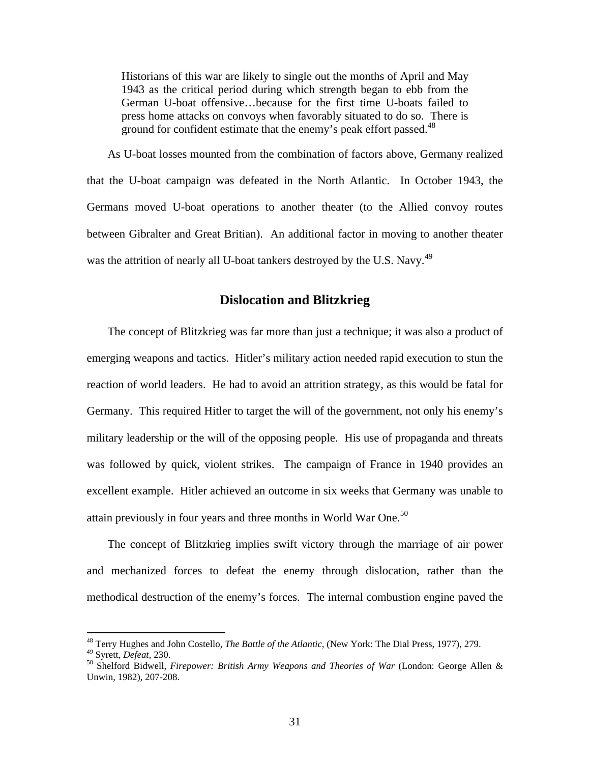Historians of this war are likely to single out the months of April and May 1943 as the critical period during which strength began to ebb from the German U-boat offensive…because for the first time U-boats failed to press home attacks on convoys when favorably situated to do so. There is ground for confident estimate that the enemy's peak effort passed.<sup>48</sup>

As U-boat losses mounted from the combination of factors above, Germany realized that the U-boat campaign was defeated in the North Atlantic. In October 1943, the Germans moved U-boat operations to another theater (to the Allied convoy routes between Gibralter and Great Britian). An additional factor in moving to another theater was the attrition of nearly all U-boat tankers destroyed by the U.S. Navy.<sup>49</sup>

#### **Dislocation and Blitzkrieg**

The concept of Blitzkrieg was far more than just a technique; it was also a product of emerging weapons and tactics. Hitler's military action needed rapid execution to stun the reaction of world leaders. He had to avoid an attrition strategy, as this would be fatal for Germany. This required Hitler to target the will of the government, not only his enemy's military leadership or the will of the opposing people. His use of propaganda and threats was followed by quick, violent strikes. The campaign of France in 1940 provides an excellent example. Hitler achieved an outcome in six weeks that Germany was unable to attain previously in four years and three months in World War One.<sup>50</sup>

The concept of Blitzkrieg implies swift victory through the marriage of air power and mechanized forces to defeat the enemy through dislocation, rather than the methodical destruction of the enemy's forces. The internal combustion engine paved the

<sup>48</sup> Terry Hughes and John Costello, *The Battle of the Atlantic,* (New York: The Dial Press, 1977), 279.

<sup>49</sup> Syrett, *Defeat,* 230.

<sup>50</sup> Shelford Bidwell, *Firepower: British Army Weapons and Theories of War* (London: George Allen & Unwin, 1982), 207-208.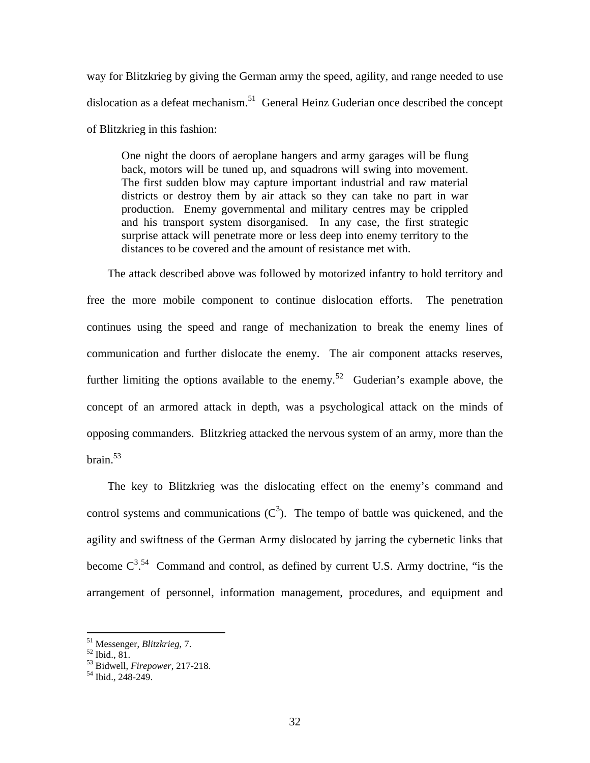way for Blitzkrieg by giving the German army the speed, agility, and range needed to use dislocation as a defeat mechanism.<sup>51</sup> General Heinz Guderian once described the concept of Blitzkrieg in this fashion:

One night the doors of aeroplane hangers and army garages will be flung back, motors will be tuned up, and squadrons will swing into movement. The first sudden blow may capture important industrial and raw material districts or destroy them by air attack so they can take no part in war production. Enemy governmental and military centres may be crippled and his transport system disorganised. In any case, the first strategic surprise attack will penetrate more or less deep into enemy territory to the distances to be covered and the amount of resistance met with.

The attack described above was followed by motorized infantry to hold territory and free the more mobile component to continue dislocation efforts. The penetration continues using the speed and range of mechanization to break the enemy lines of communication and further dislocate the enemy. The air component attacks reserves, further limiting the options available to the enemy.<sup>52</sup> Guderian's example above, the concept of an armored attack in depth, was a psychological attack on the minds of opposing commanders. Blitzkrieg attacked the nervous system of an army, more than the brain. $53$ 

The key to Blitzkrieg was the dislocating effect on the enemy's command and control systems and communications  $(C^3)$ . The tempo of battle was quickened, and the agility and swiftness of the German Army dislocated by jarring the cybernetic links that become  $C^{3.54}$  Command and control, as defined by current U.S. Army doctrine, "is the arrangement of personnel, information management, procedures, and equipment and

<sup>51</sup> Messenger, *Blitzkrieg*, 7.

 $52$  Ibid., 81.

<sup>53</sup> Bidwell, *Firepower*, 217-218.

 $54$  Ibid., 248-249.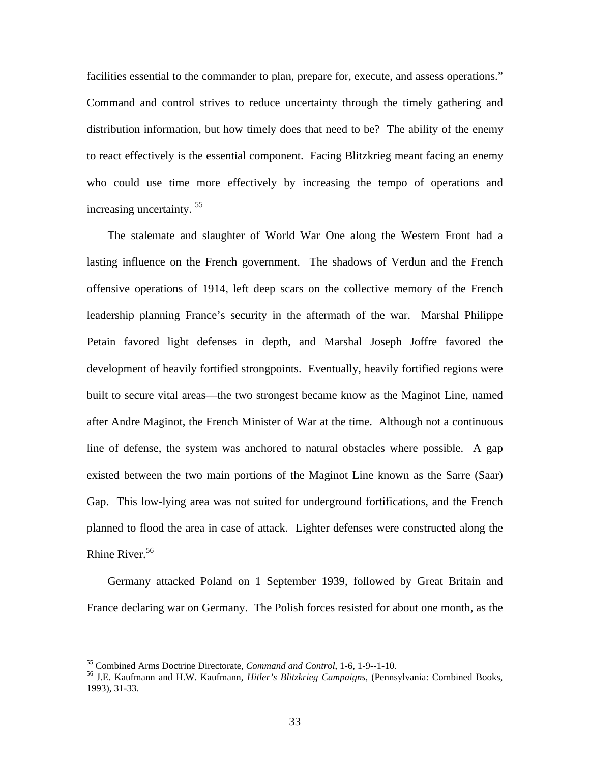facilities essential to the commander to plan, prepare for, execute, and assess operations." Command and control strives to reduce uncertainty through the timely gathering and distribution information, but how timely does that need to be? The ability of the enemy to react effectively is the essential component. Facing Blitzkrieg meant facing an enemy who could use time more effectively by increasing the tempo of operations and increasing uncertainty.<sup>55</sup>

The stalemate and slaughter of World War One along the Western Front had a lasting influence on the French government. The shadows of Verdun and the French offensive operations of 1914, left deep scars on the collective memory of the French leadership planning France's security in the aftermath of the war. Marshal Philippe Petain favored light defenses in depth, and Marshal Joseph Joffre favored the development of heavily fortified strongpoints. Eventually, heavily fortified regions were built to secure vital areas—the two strongest became know as the Maginot Line, named after Andre Maginot, the French Minister of War at the time. Although not a continuous line of defense, the system was anchored to natural obstacles where possible. A gap existed between the two main portions of the Maginot Line known as the Sarre (Saar) Gap. This low-lying area was not suited for underground fortifications, and the French planned to flood the area in case of attack. Lighter defenses were constructed along the Rhine River.<sup>56</sup>

Germany attacked Poland on 1 September 1939, followed by Great Britain and France declaring war on Germany. The Polish forces resisted for about one month, as the

<sup>55</sup> Combined Arms Doctrine Directorate, *Command and Control*, 1-6, 1-9--1-10.

<sup>56</sup> J.E. Kaufmann and H.W. Kaufmann, *Hitler's Blitzkrieg Campaigns*, (Pennsylvania: Combined Books, 1993), 31-33.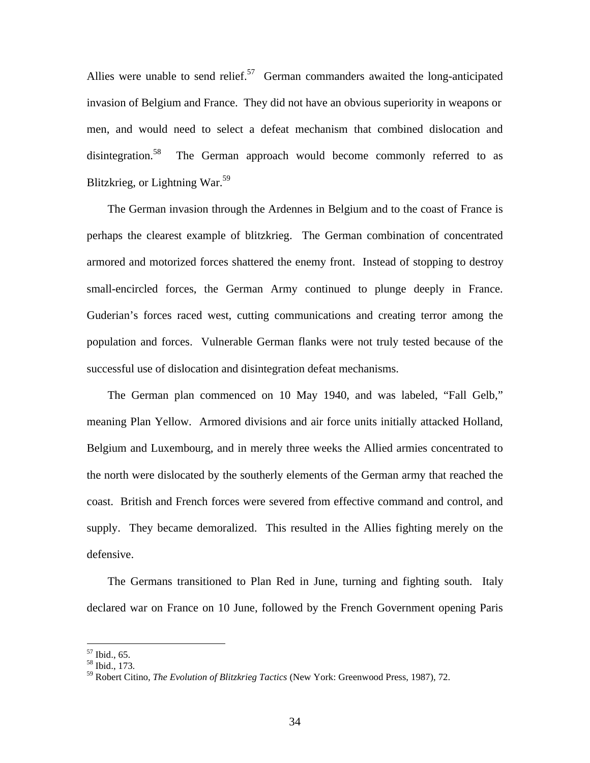Allies were unable to send relief.<sup>57</sup> German commanders awaited the long-anticipated invasion of Belgium and France. They did not have an obvious superiority in weapons or men, and would need to select a defeat mechanism that combined dislocation and disintegration.<sup>58</sup> The German approach would become commonly referred to as Blitzkrieg, or Lightning War.<sup>59</sup>

The German invasion through the Ardennes in Belgium and to the coast of France is perhaps the clearest example of blitzkrieg. The German combination of concentrated armored and motorized forces shattered the enemy front. Instead of stopping to destroy small-encircled forces, the German Army continued to plunge deeply in France. Guderian's forces raced west, cutting communications and creating terror among the population and forces. Vulnerable German flanks were not truly tested because of the successful use of dislocation and disintegration defeat mechanisms.

The German plan commenced on 10 May 1940, and was labeled, "Fall Gelb," meaning Plan Yellow. Armored divisions and air force units initially attacked Holland, Belgium and Luxembourg, and in merely three weeks the Allied armies concentrated to the north were dislocated by the southerly elements of the German army that reached the coast. British and French forces were severed from effective command and control, and supply. They became demoralized. This resulted in the Allies fighting merely on the defensive.

The Germans transitioned to Plan Red in June, turning and fighting south. Italy declared war on France on 10 June, followed by the French Government opening Paris

<sup>57</sup> Ibid., 65.

<sup>&</sup>lt;sup>58</sup> Ibid., 173.

<sup>59</sup> Robert Citino, *The Evolution of Blitzkrieg Tactics* (New York: Greenwood Press, 1987), 72.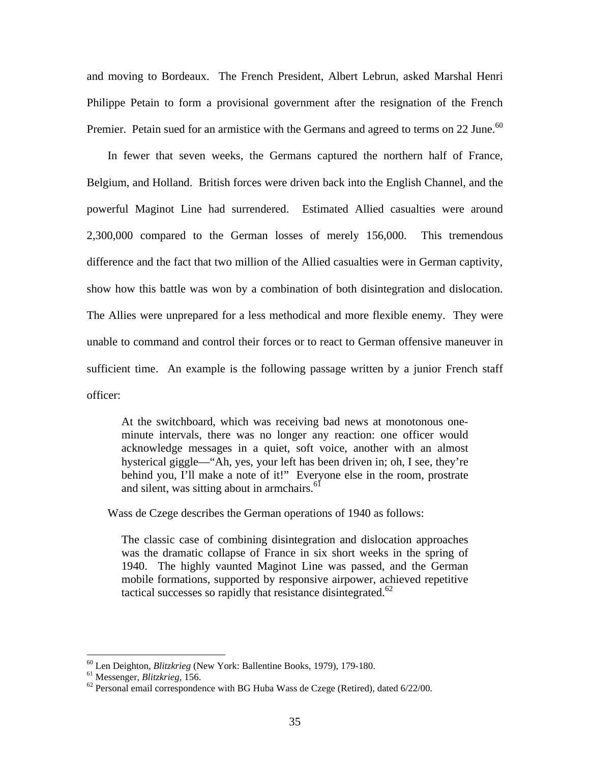and moving to Bordeaux. The French President, Albert Lebrun, asked Marshal Henri Philippe Petain to form a provisional government after the resignation of the French Premier. Petain sued for an armistice with the Germans and agreed to terms on 22 June.<sup>60</sup>

In fewer that seven weeks, the Germans captured the northern half of France, Belgium, and Holland. British forces were driven back into the English Channel, and the powerful Maginot Line had surrendered. Estimated Allied casualties were around 2,300,000 compared to the German losses of merely 156,000. This tremendous difference and the fact that two million of the Allied casualties were in German captivity, show how this battle was won by a combination of both disintegration and dislocation. The Allies were unprepared for a less methodical and more flexible enemy. They were unable to command and control their forces or to react to German offensive maneuver in sufficient time. An example is the following passage written by a junior French staff officer:

At the switchboard, which was receiving bad news at monotonous oneminute intervals, there was no longer any reaction: one officer would acknowledge messages in a quiet, soft voice, another with an almost hysterical giggle—"Ah, yes, your left has been driven in; oh, I see, they're behind you, I'll make a note of it!" Everyone else in the room, prostrate and silent, was sitting about in armchairs.<sup>61</sup>

Wass de Czege describes the German operations of 1940 as follows:

The classic case of combining disintegration and dislocation approaches was the dramatic collapse of France in six short weeks in the spring of 1940. The highly vaunted Maginot Line was passed, and the German mobile formations, supported by responsive airpower, achieved repetitive tactical successes so rapidly that resistance disintegrated.<sup>62</sup>

<sup>60</sup> Len Deighton, *Blitzkrieg* (New York: Ballentine Books, 1979), 179-180.

<sup>61</sup> Messenger, *Blitzkrieg,* 156.

 $62$  Personal email correspondence with BG Huba Wass de Czege (Retired), dated 6/22/00.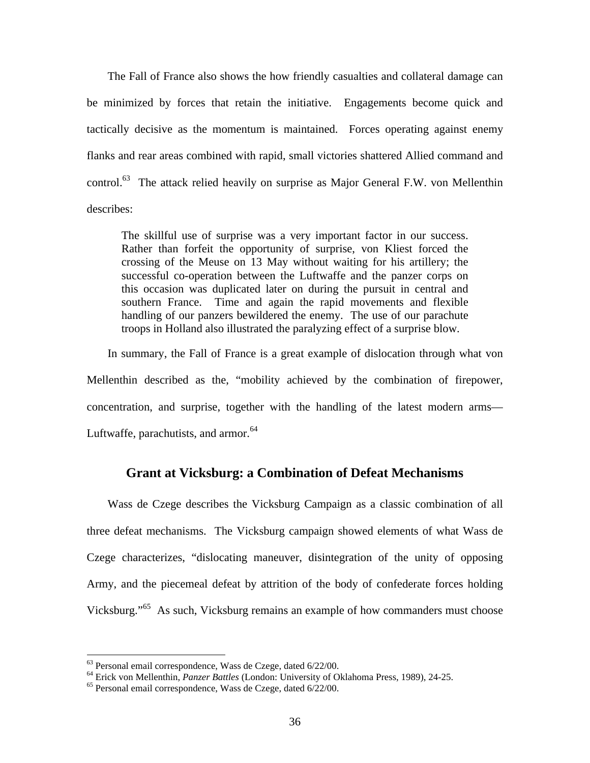The Fall of France also shows the how friendly casualties and collateral damage can be minimized by forces that retain the initiative. Engagements become quick and tactically decisive as the momentum is maintained. Forces operating against enemy flanks and rear areas combined with rapid, small victories shattered Allied command and control.<sup>63</sup> The attack relied heavily on surprise as Major General F.W. von Mellenthin describes:

The skillful use of surprise was a very important factor in our success. Rather than forfeit the opportunity of surprise, von Kliest forced the crossing of the Meuse on 13 May without waiting for his artillery; the successful co-operation between the Luftwaffe and the panzer corps on this occasion was duplicated later on during the pursuit in central and southern France. Time and again the rapid movements and flexible handling of our panzers bewildered the enemy. The use of our parachute troops in Holland also illustrated the paralyzing effect of a surprise blow.

In summary, the Fall of France is a great example of dislocation through what von Mellenthin described as the, "mobility achieved by the combination of firepower, concentration, and surprise, together with the handling of the latest modern arms— Luftwaffe, parachutists, and armor. $64$ 

### **Grant at Vicksburg: a Combination of Defeat Mechanisms**

Wass de Czege describes the Vicksburg Campaign as a classic combination of all three defeat mechanisms. The Vicksburg campaign showed elements of what Wass de Czege characterizes, "dislocating maneuver, disintegration of the unity of opposing Army, and the piecemeal defeat by attrition of the body of confederate forces holding Vicksburg."<sup>65</sup> As such, Vicksburg remains an example of how commanders must choose

 $63$  Personal email correspondence, Wass de Czege, dated  $6/22/00$ .

<sup>64</sup> Erick von Mellenthin, *Panzer Battles* (London: University of Oklahoma Press, 1989), 24-25.

<sup>&</sup>lt;sup>65</sup> Personal email correspondence, Wass de Czege, dated 6/22/00.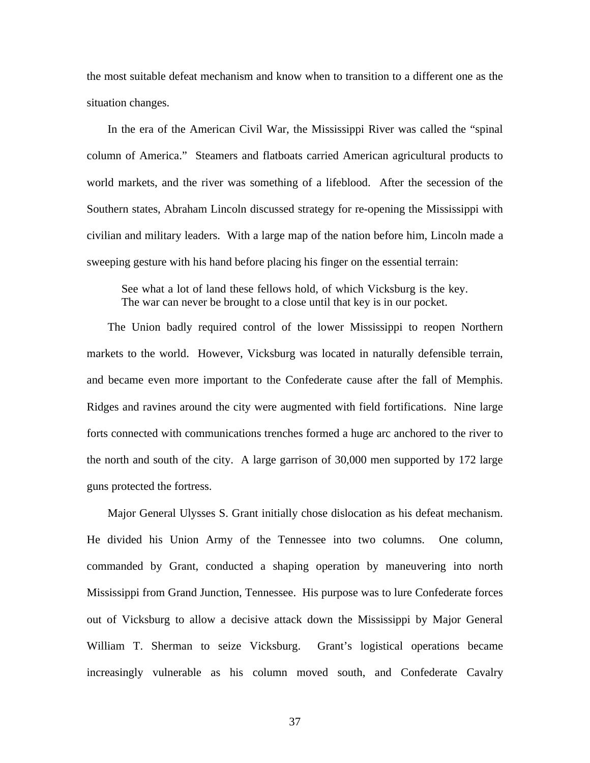the most suitable defeat mechanism and know when to transition to a different one as the situation changes.

In the era of the American Civil War, the Mississippi River was called the "spinal column of America." Steamers and flatboats carried American agricultural products to world markets, and the river was something of a lifeblood. After the secession of the Southern states, Abraham Lincoln discussed strategy for re-opening the Mississippi with civilian and military leaders. With a large map of the nation before him, Lincoln made a sweeping gesture with his hand before placing his finger on the essential terrain:

See what a lot of land these fellows hold, of which Vicksburg is the key. The war can never be brought to a close until that key is in our pocket.

The Union badly required control of the lower Mississippi to reopen Northern markets to the world. However, Vicksburg was located in naturally defensible terrain, and became even more important to the Confederate cause after the fall of Memphis. Ridges and ravines around the city were augmented with field fortifications. Nine large forts connected with communications trenches formed a huge arc anchored to the river to the north and south of the city. A large garrison of 30,000 men supported by 172 large guns protected the fortress.

Major General Ulysses S. Grant initially chose dislocation as his defeat mechanism. He divided his Union Army of the Tennessee into two columns. One column, commanded by Grant, conducted a shaping operation by maneuvering into north Mississippi from Grand Junction, Tennessee. His purpose was to lure Confederate forces out of Vicksburg to allow a decisive attack down the Mississippi by Major General William T. Sherman to seize Vicksburg. Grant's logistical operations became increasingly vulnerable as his column moved south, and Confederate Cavalry

37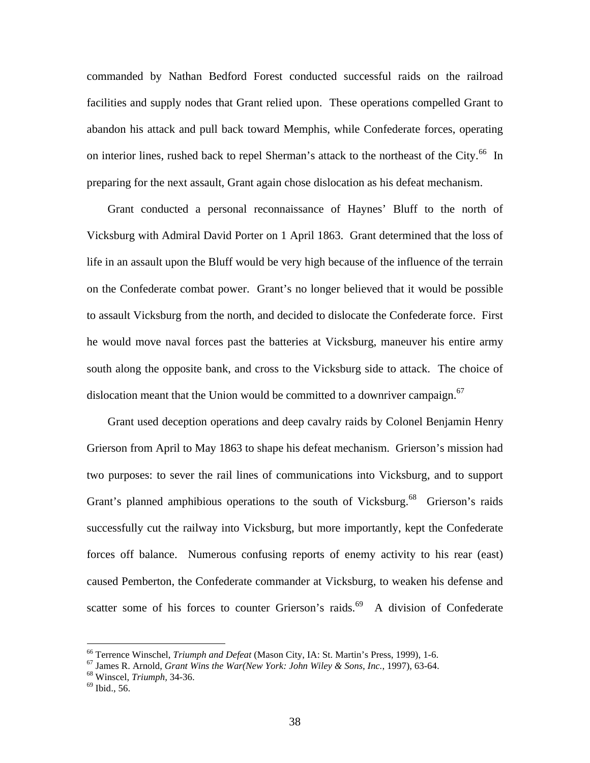commanded by Nathan Bedford Forest conducted successful raids on the railroad facilities and supply nodes that Grant relied upon. These operations compelled Grant to abandon his attack and pull back toward Memphis, while Confederate forces, operating on interior lines, rushed back to repel Sherman's attack to the northeast of the City.<sup>66</sup> In preparing for the next assault, Grant again chose dislocation as his defeat mechanism.

Grant conducted a personal reconnaissance of Haynes' Bluff to the north of Vicksburg with Admiral David Porter on 1 April 1863. Grant determined that the loss of life in an assault upon the Bluff would be very high because of the influence of the terrain on the Confederate combat power. Grant's no longer believed that it would be possible to assault Vicksburg from the north, and decided to dislocate the Confederate force. First he would move naval forces past the batteries at Vicksburg, maneuver his entire army south along the opposite bank, and cross to the Vicksburg side to attack. The choice of dislocation meant that the Union would be committed to a downriver campaign.<sup>67</sup>

Grant used deception operations and deep cavalry raids by Colonel Benjamin Henry Grierson from April to May 1863 to shape his defeat mechanism. Grierson's mission had two purposes: to sever the rail lines of communications into Vicksburg, and to support Grant's planned amphibious operations to the south of Vicksburg.<sup>68</sup> Grierson's raids successfully cut the railway into Vicksburg, but more importantly, kept the Confederate forces off balance. Numerous confusing reports of enemy activity to his rear (east) caused Pemberton, the Confederate commander at Vicksburg, to weaken his defense and scatter some of his forces to counter Grierson's raids. $69$  A division of Confederate

<sup>66</sup> Terrence Winschel, *Triumph and Defeat* (Mason City, IA: St. Martin's Press, 1999), 1-6.

<sup>67</sup> James R. Arnold, *Grant Wins the War(New York: John Wiley & Sons, Inc.*, 1997), 63-64.

<sup>68</sup> Winscel, *Triumph,* 34-36.

 $69$  Ibid., 56.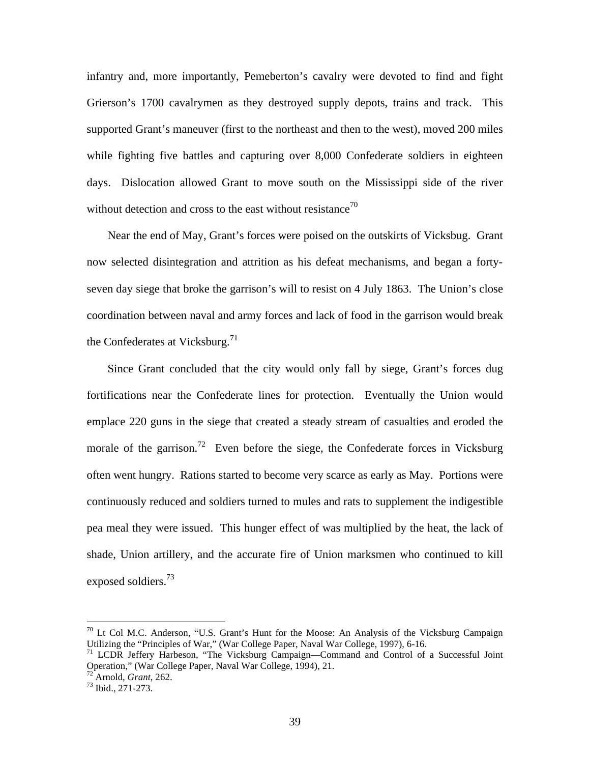infantry and, more importantly, Pemeberton's cavalry were devoted to find and fight Grierson's 1700 cavalrymen as they destroyed supply depots, trains and track. This supported Grant's maneuver (first to the northeast and then to the west), moved 200 miles while fighting five battles and capturing over 8,000 Confederate soldiers in eighteen days. Dislocation allowed Grant to move south on the Mississippi side of the river without detection and cross to the east without resistance<sup>70</sup>

Near the end of May, Grant's forces were poised on the outskirts of Vicksbug. Grant now selected disintegration and attrition as his defeat mechanisms, and began a fortyseven day siege that broke the garrison's will to resist on 4 July 1863. The Union's close coordination between naval and army forces and lack of food in the garrison would break the Confederates at Vicksburg.<sup>71</sup>

Since Grant concluded that the city would only fall by siege, Grant's forces dug fortifications near the Confederate lines for protection. Eventually the Union would emplace 220 guns in the siege that created a steady stream of casualties and eroded the morale of the garrison.<sup>72</sup> Even before the siege, the Confederate forces in Vicksburg often went hungry. Rations started to become very scarce as early as May. Portions were continuously reduced and soldiers turned to mules and rats to supplement the indigestible pea meal they were issued. This hunger effect of was multiplied by the heat, the lack of shade, Union artillery, and the accurate fire of Union marksmen who continued to kill exposed soldiers.<sup>73</sup>

 $70$  Lt Col M.C. Anderson, "U.S. Grant's Hunt for the Moose: An Analysis of the Vicksburg Campaign Utilizing the "Principles of War," (War College Paper, Naval War College, 1997), 6-16.

<sup>&</sup>lt;sup>71</sup> LCDR Jeffery Harbeson, "The Vicksburg Campaign—Command and Control of a Successful Joint Operation," (War College Paper, Naval War College, 1994), 21.

<sup>72</sup> Arnold, *Grant*, 262.

<sup>73</sup> Ibid., 271-273.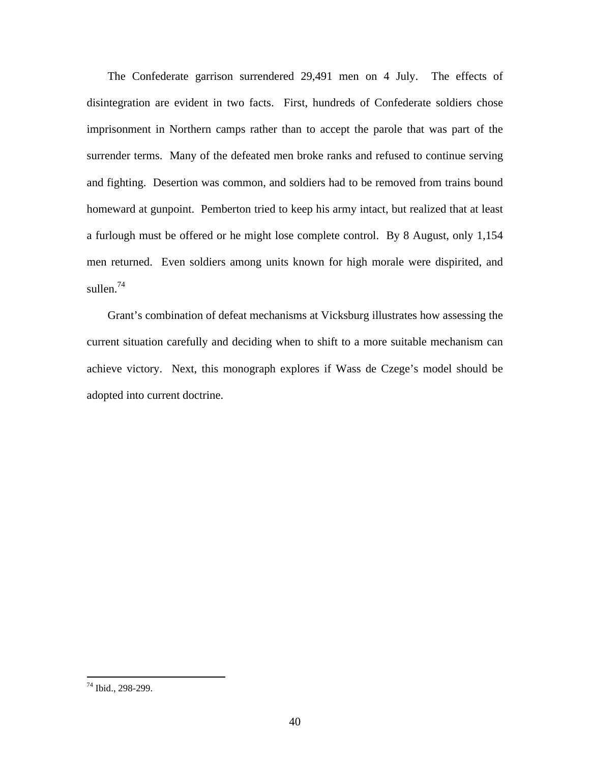The Confederate garrison surrendered 29,491 men on 4 July. The effects of disintegration are evident in two facts. First, hundreds of Confederate soldiers chose imprisonment in Northern camps rather than to accept the parole that was part of the surrender terms. Many of the defeated men broke ranks and refused to continue serving and fighting. Desertion was common, and soldiers had to be removed from trains bound homeward at gunpoint. Pemberton tried to keep his army intact, but realized that at least a furlough must be offered or he might lose complete control. By 8 August, only 1,154 men returned. Even soldiers among units known for high morale were dispirited, and sullen.<sup>74</sup>

Grant's combination of defeat mechanisms at Vicksburg illustrates how assessing the current situation carefully and deciding when to shift to a more suitable mechanism can achieve victory. Next, this monograph explores if Wass de Czege's model should be adopted into current doctrine.

<sup>&</sup>lt;sup>74</sup> Ibid., 298-299.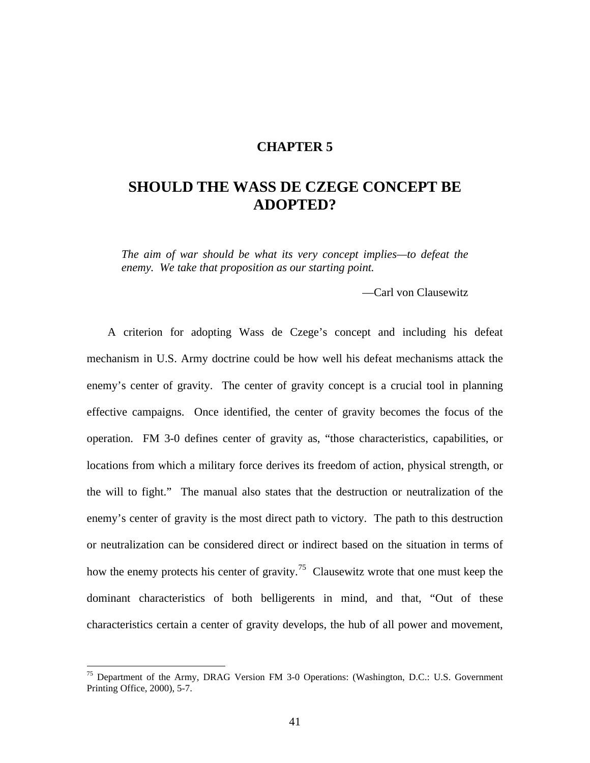#### **CHAPTER 5**

## **SHOULD THE WASS DE CZEGE CONCEPT BE ADOPTED?**

*The aim of war should be what its very concept implies—to defeat the enemy. We take that proposition as our starting point.*

—Carl von Clausewitz

A criterion for adopting Wass de Czege's concept and including his defeat mechanism in U.S. Army doctrine could be how well his defeat mechanisms attack the enemy's center of gravity. The center of gravity concept is a crucial tool in planning effective campaigns. Once identified, the center of gravity becomes the focus of the operation. FM 3-0 defines center of gravity as, "those characteristics, capabilities, or locations from which a military force derives its freedom of action, physical strength, or the will to fight." The manual also states that the destruction or neutralization of the enemy's center of gravity is the most direct path to victory. The path to this destruction or neutralization can be considered direct or indirect based on the situation in terms of how the enemy protects his center of gravity.<sup>75</sup> Clausewitz wrote that one must keep the dominant characteristics of both belligerents in mind, and that, "Out of these characteristics certain a center of gravity develops, the hub of all power and movement,

<sup>&</sup>lt;sup>75</sup> Department of the Army, DRAG Version FM 3-0 Operations: (Washington, D.C.: U.S. Government Printing Office, 2000), 5-7.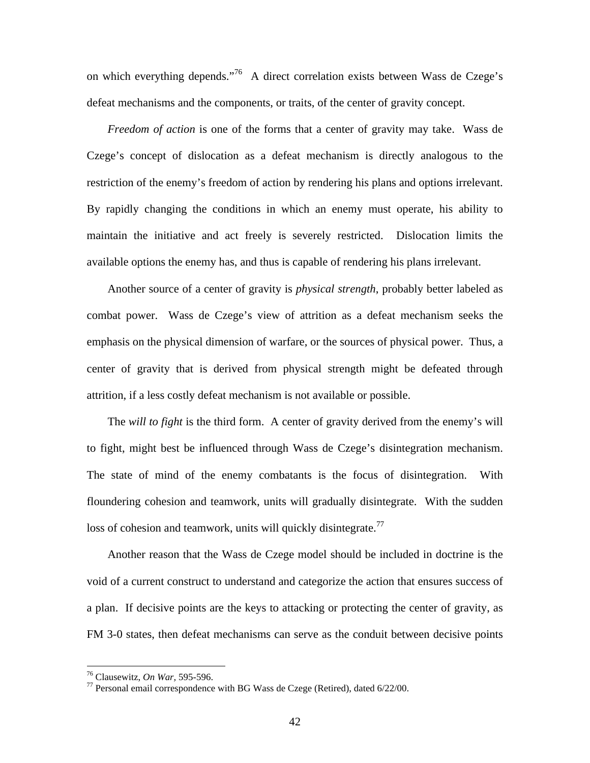on which everything depends."<sup>76</sup> A direct correlation exists between Wass de Czege's defeat mechanisms and the components, or traits, of the center of gravity concept.

*Freedom of action* is one of the forms that a center of gravity may take. Wass de Czege's concept of dislocation as a defeat mechanism is directly analogous to the restriction of the enemy's freedom of action by rendering his plans and options irrelevant. By rapidly changing the conditions in which an enemy must operate, his ability to maintain the initiative and act freely is severely restricted. Dislocation limits the available options the enemy has, and thus is capable of rendering his plans irrelevant.

Another source of a center of gravity is *physical strength*, probably better labeled as combat power. Wass de Czege's view of attrition as a defeat mechanism seeks the emphasis on the physical dimension of warfare, or the sources of physical power. Thus, a center of gravity that is derived from physical strength might be defeated through attrition, if a less costly defeat mechanism is not available or possible.

The *will to fight* is the third form. A center of gravity derived from the enemy's will to fight, might best be influenced through Wass de Czege's disintegration mechanism. The state of mind of the enemy combatants is the focus of disintegration. With floundering cohesion and teamwork, units will gradually disintegrate. With the sudden loss of cohesion and teamwork, units will quickly disintegrate.<sup>77</sup>

Another reason that the Wass de Czege model should be included in doctrine is the void of a current construct to understand and categorize the action that ensures success of a plan. If decisive points are the keys to attacking or protecting the center of gravity, as FM 3-0 states, then defeat mechanisms can serve as the conduit between decisive points

<sup>76</sup> Clausewitz, *On War,* 595-596.

 $^{77}$  Personal email correspondence with BG Wass de Czege (Retired), dated 6/22/00.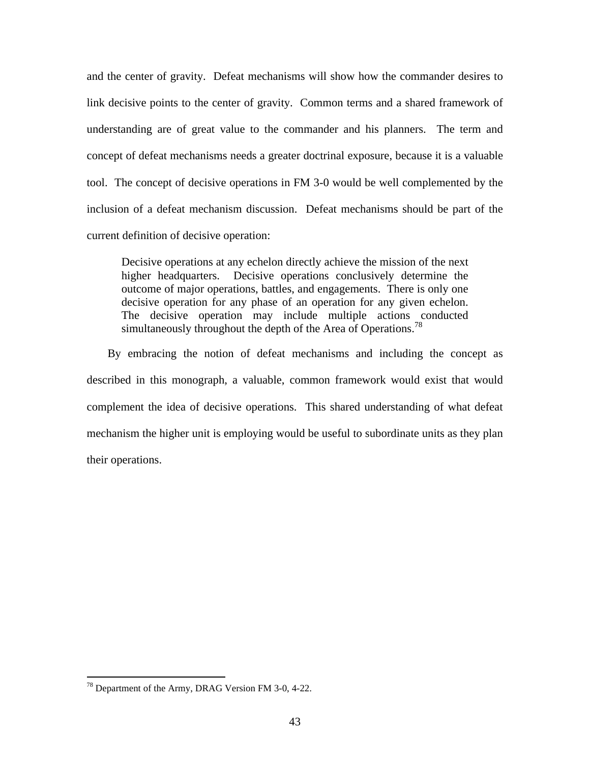and the center of gravity. Defeat mechanisms will show how the commander desires to link decisive points to the center of gravity. Common terms and a shared framework of understanding are of great value to the commander and his planners. The term and concept of defeat mechanisms needs a greater doctrinal exposure, because it is a valuable tool. The concept of decisive operations in FM 3-0 would be well complemented by the inclusion of a defeat mechanism discussion. Defeat mechanisms should be part of the current definition of decisive operation:

Decisive operations at any echelon directly achieve the mission of the next higher headquarters. Decisive operations conclusively determine the outcome of major operations, battles, and engagements. There is only one decisive operation for any phase of an operation for any given echelon. The decisive operation may include multiple actions conducted simultaneously throughout the depth of the Area of Operations.<sup>78</sup>

By embracing the notion of defeat mechanisms and including the concept as described in this monograph, a valuable, common framework would exist that would complement the idea of decisive operations. This shared understanding of what defeat mechanism the higher unit is employing would be useful to subordinate units as they plan their operations.

<sup>78</sup> Department of the Army, DRAG Version FM 3-0, 4-22.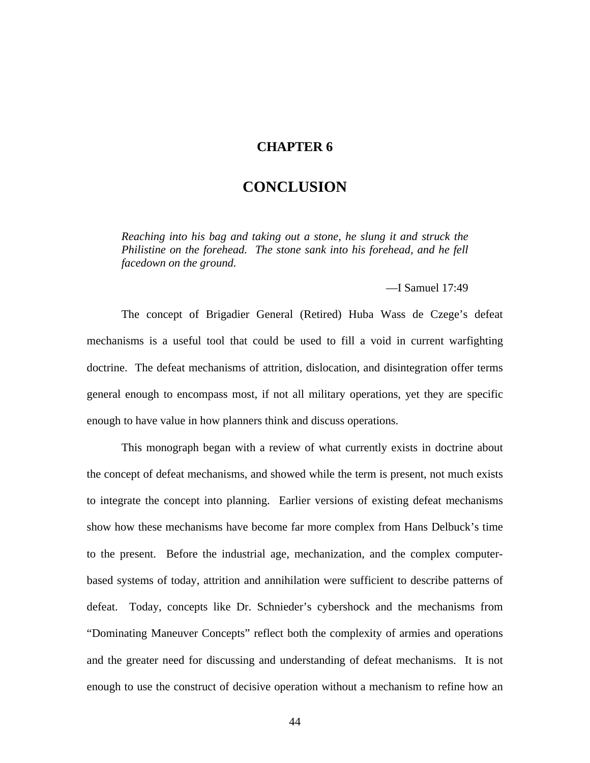### **CHAPTER 6**

### **CONCLUSION**

*Reaching into his bag and taking out a stone, he slung it and struck the Philistine on the forehead. The stone sank into his forehead, and he fell facedown on the ground.*

—I Samuel 17:49

The concept of Brigadier General (Retired) Huba Wass de Czege's defeat mechanisms is a useful tool that could be used to fill a void in current warfighting doctrine. The defeat mechanisms of attrition, dislocation, and disintegration offer terms general enough to encompass most, if not all military operations, yet they are specific enough to have value in how planners think and discuss operations.

This monograph began with a review of what currently exists in doctrine about the concept of defeat mechanisms, and showed while the term is present, not much exists to integrate the concept into planning. Earlier versions of existing defeat mechanisms show how these mechanisms have become far more complex from Hans Delbuck's time to the present. Before the industrial age, mechanization, and the complex computerbased systems of today, attrition and annihilation were sufficient to describe patterns of defeat. Today, concepts like Dr. Schnieder's cybershock and the mechanisms from "Dominating Maneuver Concepts" reflect both the complexity of armies and operations and the greater need for discussing and understanding of defeat mechanisms. It is not enough to use the construct of decisive operation without a mechanism to refine how an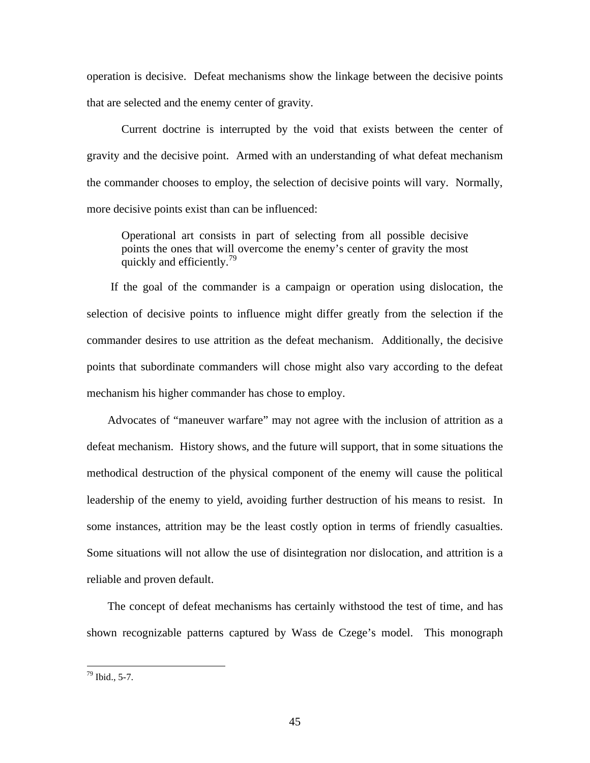operation is decisive. Defeat mechanisms show the linkage between the decisive points that are selected and the enemy center of gravity.

Current doctrine is interrupted by the void that exists between the center of gravity and the decisive point. Armed with an understanding of what defeat mechanism the commander chooses to employ, the selection of decisive points will vary. Normally, more decisive points exist than can be influenced:

Operational art consists in part of selecting from all possible decisive points the ones that will overcome the enemy's center of gravity the most quickly and efficiently.<sup>79</sup>

 If the goal of the commander is a campaign or operation using dislocation, the selection of decisive points to influence might differ greatly from the selection if the commander desires to use attrition as the defeat mechanism. Additionally, the decisive points that subordinate commanders will chose might also vary according to the defeat mechanism his higher commander has chose to employ.

Advocates of "maneuver warfare" may not agree with the inclusion of attrition as a defeat mechanism. History shows, and the future will support, that in some situations the methodical destruction of the physical component of the enemy will cause the political leadership of the enemy to yield, avoiding further destruction of his means to resist. In some instances, attrition may be the least costly option in terms of friendly casualties. Some situations will not allow the use of disintegration nor dislocation, and attrition is a reliable and proven default.

The concept of defeat mechanisms has certainly withstood the test of time, and has shown recognizable patterns captured by Wass de Czege's model. This monograph

 $79$  Ibid., 5-7.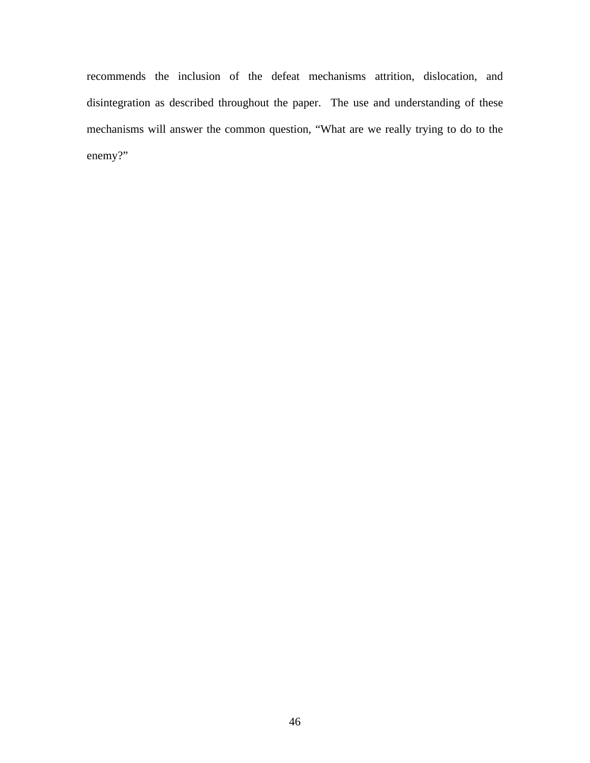recommends the inclusion of the defeat mechanisms attrition, dislocation, and disintegration as described throughout the paper. The use and understanding of these mechanisms will answer the common question, "What are we really trying to do to the enemy?"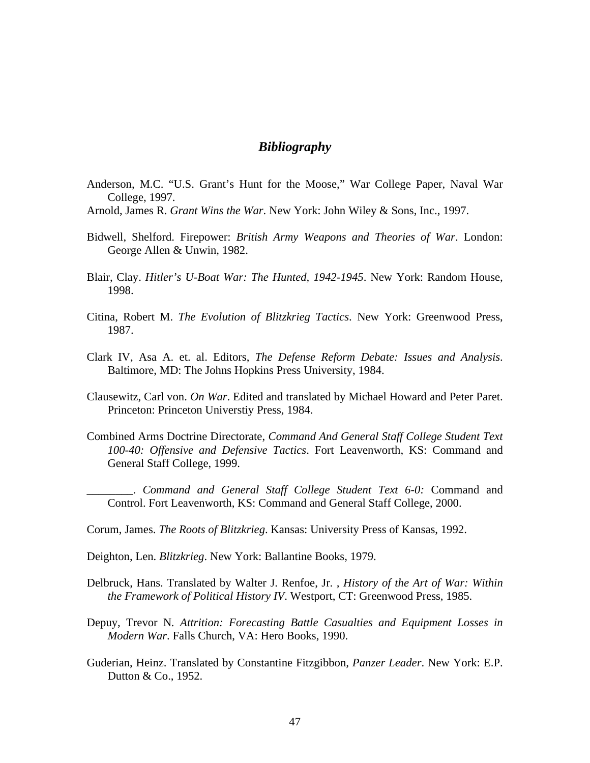### *Bibliography*

- Anderson, M.C. "U.S. Grant's Hunt for the Moose," War College Paper, Naval War College, 1997.
- Arnold, James R. *Grant Wins the War*. New York: John Wiley & Sons, Inc., 1997.
- Bidwell, Shelford. Firepower: *British Army Weapons and Theories of War*. London: George Allen & Unwin, 1982.
- Blair, Clay. *Hitler's U-Boat War: The Hunted, 1942-1945*. New York: Random House, 1998.
- Citina, Robert M. *The Evolution of Blitzkrieg Tactics*. New York: Greenwood Press, 1987.
- Clark IV, Asa A. et. al. Editors, *The Defense Reform Debate: Issues and Analysis*. Baltimore, MD: The Johns Hopkins Press University, 1984.
- Clausewitz, Carl von. *On War*. Edited and translated by Michael Howard and Peter Paret. Princeton: Princeton Universtiy Press, 1984.
- Combined Arms Doctrine Directorate, *Command And General Staff College Student Text 100-40: Offensive and Defensive Tactics*. Fort Leavenworth, KS: Command and General Staff College, 1999.
	- \_\_\_\_\_\_\_\_. *Command and General Staff College Student Text 6-0:* Command and Control. Fort Leavenworth, KS: Command and General Staff College, 2000.
- Corum, James. *The Roots of Blitzkrieg*. Kansas: University Press of Kansas, 1992.

Deighton, Len. *Blitzkrieg*. New York: Ballantine Books, 1979.

- Delbruck, Hans. Translated by Walter J. Renfoe, Jr. *, History of the Art of War: Within the Framework of Political History IV*. Westport, CT: Greenwood Press, 1985.
- Depuy, Trevor N*. Attrition: Forecasting Battle Casualties and Equipment Losses in Modern War*. Falls Church, VA: Hero Books, 1990.
- Guderian, Heinz. Translated by Constantine Fitzgibbon*, Panzer Leader*. New York: E.P. Dutton & Co., 1952.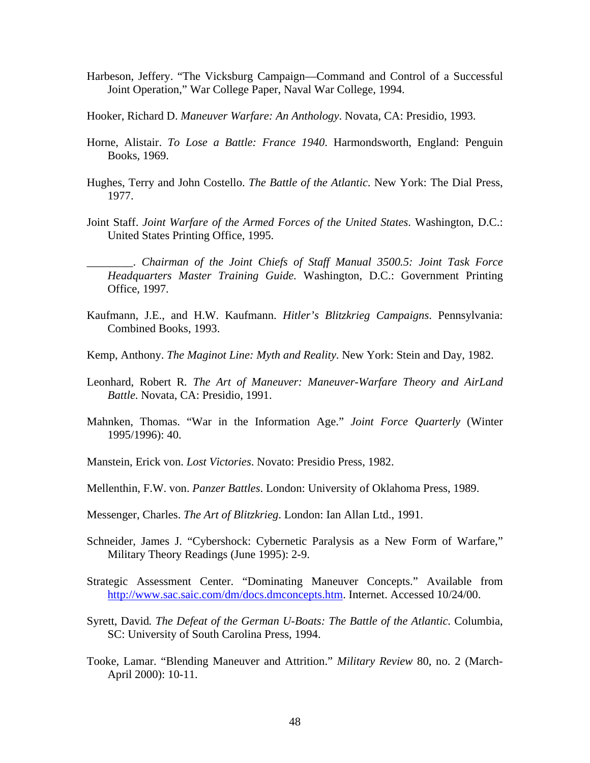- Harbeson, Jeffery. "The Vicksburg Campaign—Command and Control of a Successful Joint Operation," War College Paper, Naval War College, 1994.
- Hooker, Richard D. *Maneuver Warfare: An Anthology*. Novata, CA: Presidio, 1993.
- Horne, Alistair. *To Lose a Battle: France 1940*. Harmondsworth, England: Penguin Books, 1969.
- Hughes, Terry and John Costello. *The Battle of the Atlantic*. New York: The Dial Press, 1977.
- Joint Staff. *Joint Warfare of the Armed Forces of the United States*. Washington, D.C.: United States Printing Office, 1995.
- \_\_\_\_\_\_\_\_. *Chairman of the Joint Chiefs of Staff Manual 3500.5: Joint Task Force Headquarters Master Training Guide.* Washington, D.C.: Government Printing Office, 1997.
- Kaufmann, J.E., and H.W. Kaufmann. *Hitler's Blitzkrieg Campaigns*. Pennsylvania: Combined Books, 1993.
- Kemp, Anthony. *The Maginot Line: Myth and Reality*. New York: Stein and Day, 1982.
- Leonhard, Robert R*. The Art of Maneuver: Maneuver-Warfare Theory and AirLand Battle*. Novata, CA: Presidio, 1991.
- Mahnken, Thomas. "War in the Information Age." *Joint Force Quarterly* (Winter 1995/1996): 40.
- Manstein, Erick von. *Lost Victories*. Novato: Presidio Press, 1982.
- Mellenthin, F.W. von. *Panzer Battles*. London: University of Oklahoma Press, 1989.
- Messenger, Charles. *The Art of Blitzkrieg*. London: Ian Allan Ltd., 1991.
- Schneider, James J. "Cybershock: Cybernetic Paralysis as a New Form of Warfare," Military Theory Readings (June 1995): 2-9.
- Strategic Assessment Center. "Dominating Maneuver Concepts." Available from http://www.sac.saic.com/dm/docs.dmconcepts.htm. Internet. Accessed 10/24/00.
- Syrett, David*. The Defeat of the German U-Boats: The Battle of the Atlantic*. Columbia, SC: University of South Carolina Press, 1994.
- Tooke, Lamar. "Blending Maneuver and Attrition." *Military Review* 80, no. 2 (March-April 2000): 10-11.